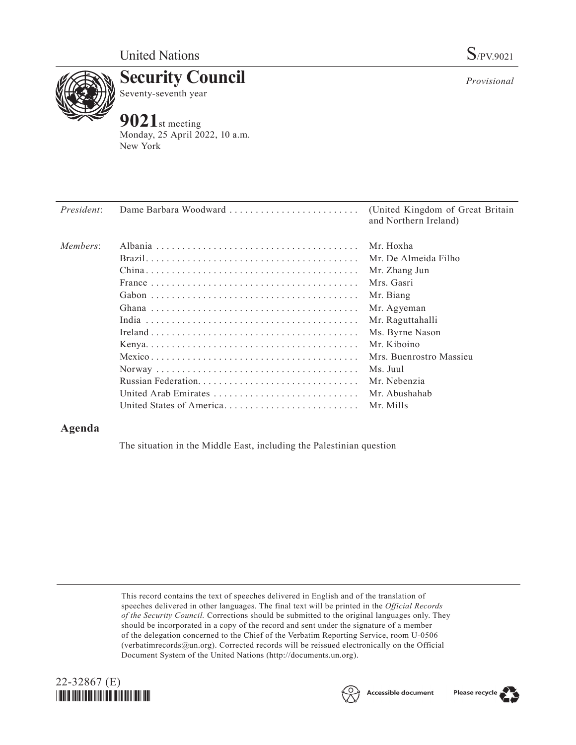

**Security Council** Seventy-seventh year

## **9021**st meeting

Monday, 25 April 2022, 10 a.m. New York

| President: | Dame Barbara Woodward    | (United Kingdom of Great Britain)<br>and Northern Ireland) |
|------------|--------------------------|------------------------------------------------------------|
| Members:   |                          | Mr. Hoxha                                                  |
|            |                          | Mr. De Almeida Filho                                       |
|            |                          | Mr. Zhang Jun                                              |
|            |                          | Mrs. Gasri                                                 |
|            |                          | Mr. Biang                                                  |
|            |                          | Mr. Agyeman                                                |
|            |                          | Mr. Raguttahalli                                           |
|            |                          | Ms. Byrne Nason                                            |
|            |                          | Mr. Kiboino                                                |
|            |                          | Mrs. Buenrostro Massieu                                    |
|            |                          | Ms. Juul                                                   |
|            |                          | Mr. Nebenzia                                               |
|            | United Arab Emirates     | Mr. Abushahab                                              |
|            | United States of America | Mr. Mills                                                  |

## **Agenda**

The situation in the Middle East, including the Palestinian question

This record contains the text of speeches delivered in English and of the translation of speeches delivered in other languages. The final text will be printed in the *Official Records of the Security Council.* Corrections should be submitted to the original languages only. They should be incorporated in a copy of the record and sent under the signature of a member of the delegation concerned to the Chief of the Verbatim Reporting Service, room U-0506 (verbatimrecords@un.org). Corrected records will be reissued electronically on the Official Document System of the United Nations (http://documents.un.org).





Please recycle

*Provisional*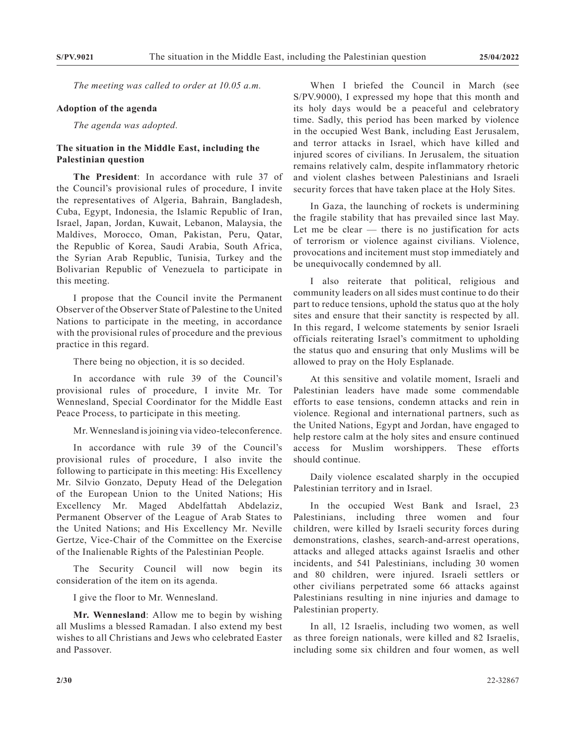*The meeting was called to order at 10.05 a.m.*

## **Adoption of the agenda**

*The agenda was adopted.*

## **The situation in the Middle East, including the Palestinian question**

**The President**: In accordance with rule 37 of the Council's provisional rules of procedure, I invite the representatives of Algeria, Bahrain, Bangladesh, Cuba, Egypt, Indonesia, the Islamic Republic of Iran, Israel, Japan, Jordan, Kuwait, Lebanon, Malaysia, the Maldives, Morocco, Oman, Pakistan, Peru, Qatar, the Republic of Korea, Saudi Arabia, South Africa, the Syrian Arab Republic, Tunisia, Turkey and the Bolivarian Republic of Venezuela to participate in this meeting.

I propose that the Council invite the Permanent Observer of the Observer State of Palestine to the United Nations to participate in the meeting, in accordance with the provisional rules of procedure and the previous practice in this regard.

There being no objection, it is so decided.

In accordance with rule 39 of the Council's provisional rules of procedure, I invite Mr. Tor Wennesland, Special Coordinator for the Middle East Peace Process, to participate in this meeting.

Mr. Wennesland is joining via video-teleconference.

In accordance with rule 39 of the Council's provisional rules of procedure, I also invite the following to participate in this meeting: His Excellency Mr. Silvio Gonzato, Deputy Head of the Delegation of the European Union to the United Nations; His Excellency Mr. Maged Abdelfattah Abdelaziz, Permanent Observer of the League of Arab States to the United Nations; and His Excellency Mr. Neville Gertze, Vice-Chair of the Committee on the Exercise of the Inalienable Rights of the Palestinian People.

The Security Council will now begin its consideration of the item on its agenda.

I give the floor to Mr. Wennesland.

**Mr. Wennesland**: Allow me to begin by wishing all Muslims a blessed Ramadan. I also extend my best wishes to all Christians and Jews who celebrated Easter and Passover.

When I briefed the Council in March (see S/PV.9000), I expressed my hope that this month and its holy days would be a peaceful and celebratory time. Sadly, this period has been marked by violence in the occupied West Bank, including East Jerusalem, and terror attacks in Israel, which have killed and injured scores of civilians. In Jerusalem, the situation remains relatively calm, despite inflammatory rhetoric and violent clashes between Palestinians and Israeli security forces that have taken place at the Holy Sites.

In Gaza, the launching of rockets is undermining the fragile stability that has prevailed since last May. Let me be clear  $-$  there is no justification for acts of terrorism or violence against civilians. Violence, provocations and incitement must stop immediately and be unequivocally condemned by all.

I also reiterate that political, religious and community leaders on all sides must continue to do their part to reduce tensions, uphold the status quo at the holy sites and ensure that their sanctity is respected by all. In this regard, I welcome statements by senior Israeli officials reiterating Israel's commitment to upholding the status quo and ensuring that only Muslims will be allowed to pray on the Holy Esplanade.

At this sensitive and volatile moment, Israeli and Palestinian leaders have made some commendable efforts to ease tensions, condemn attacks and rein in violence. Regional and international partners, such as the United Nations, Egypt and Jordan, have engaged to help restore calm at the holy sites and ensure continued access for Muslim worshippers. These efforts should continue.

Daily violence escalated sharply in the occupied Palestinian territory and in Israel.

In the occupied West Bank and Israel, 23 Palestinians, including three women and four children, were killed by Israeli security forces during demonstrations, clashes, search-and-arrest operations, attacks and alleged attacks against Israelis and other incidents, and 541 Palestinians, including 30 women and 80 children, were injured. Israeli settlers or other civilians perpetrated some 66 attacks against Palestinians resulting in nine injuries and damage to Palestinian property.

In all, 12 Israelis, including two women, as well as three foreign nationals, were killed and 82 Israelis, including some six children and four women, as well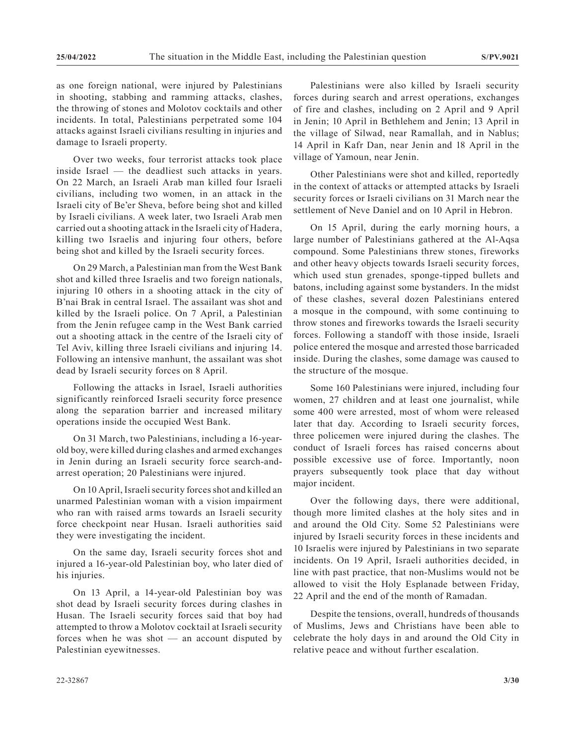as one foreign national, were injured by Palestinians in shooting, stabbing and ramming attacks, clashes, the throwing of stones and Molotov cocktails and other incidents. In total, Palestinians perpetrated some 104 attacks against Israeli civilians resulting in injuries and damage to Israeli property.

Over two weeks, four terrorist attacks took place inside Israel — the deadliest such attacks in years. On 22 March, an Israeli Arab man killed four Israeli civilians, including two women, in an attack in the Israeli city of Be'er Sheva, before being shot and killed by Israeli civilians. A week later, two Israeli Arab men carried out a shooting attack in the Israeli city of Hadera, killing two Israelis and injuring four others, before being shot and killed by the Israeli security forces.

On 29 March, a Palestinian man from the West Bank shot and killed three Israelis and two foreign nationals, injuring 10 others in a shooting attack in the city of B'nai Brak in central Israel. The assailant was shot and killed by the Israeli police. On 7 April, a Palestinian from the Jenin refugee camp in the West Bank carried out a shooting attack in the centre of the Israeli city of Tel Aviv, killing three Israeli civilians and injuring 14. Following an intensive manhunt, the assailant was shot dead by Israeli security forces on 8 April.

Following the attacks in Israel, Israeli authorities significantly reinforced Israeli security force presence along the separation barrier and increased military operations inside the occupied West Bank.

On 31 March, two Palestinians, including a 16-yearold boy, were killed during clashes and armed exchanges in Jenin during an Israeli security force search-andarrest operation; 20 Palestinians were injured.

On 10 April, Israeli security forces shot and killed an unarmed Palestinian woman with a vision impairment who ran with raised arms towards an Israeli security force checkpoint near Husan. Israeli authorities said they were investigating the incident.

On the same day, Israeli security forces shot and injured a 16-year-old Palestinian boy, who later died of his injuries.

On 13 April, a 14-year-old Palestinian boy was shot dead by Israeli security forces during clashes in Husan. The Israeli security forces said that boy had attempted to throw a Molotov cocktail at Israeli security forces when he was shot  $-$  an account disputed by Palestinian eyewitnesses.

Palestinians were also killed by Israeli security forces during search and arrest operations, exchanges of fire and clashes, including on 2 April and 9 April in Jenin; 10 April in Bethlehem and Jenin; 13 April in the village of Silwad, near Ramallah, and in Nablus; 14 April in Kafr Dan, near Jenin and 18 April in the village of Yamoun, near Jenin.

Other Palestinians were shot and killed, reportedly in the context of attacks or attempted attacks by Israeli security forces or Israeli civilians on 31 March near the settlement of Neve Daniel and on 10 April in Hebron.

On 15 April, during the early morning hours, a large number of Palestinians gathered at the Al-Aqsa compound. Some Palestinians threw stones, fireworks and other heavy objects towards Israeli security forces, which used stun grenades, sponge-tipped bullets and batons, including against some bystanders. In the midst of these clashes, several dozen Palestinians entered a mosque in the compound, with some continuing to throw stones and fireworks towards the Israeli security forces. Following a standoff with those inside, Israeli police entered the mosque and arrested those barricaded inside. During the clashes, some damage was caused to the structure of the mosque.

Some 160 Palestinians were injured, including four women, 27 children and at least one journalist, while some 400 were arrested, most of whom were released later that day. According to Israeli security forces, three policemen were injured during the clashes. The conduct of Israeli forces has raised concerns about possible excessive use of force. Importantly, noon prayers subsequently took place that day without major incident.

Over the following days, there were additional, though more limited clashes at the holy sites and in and around the Old City. Some 52 Palestinians were injured by Israeli security forces in these incidents and 10 Israelis were injured by Palestinians in two separate incidents. On 19 April, Israeli authorities decided, in line with past practice, that non-Muslims would not be allowed to visit the Holy Esplanade between Friday, 22 April and the end of the month of Ramadan.

Despite the tensions, overall, hundreds of thousands of Muslims, Jews and Christians have been able to celebrate the holy days in and around the Old City in relative peace and without further escalation.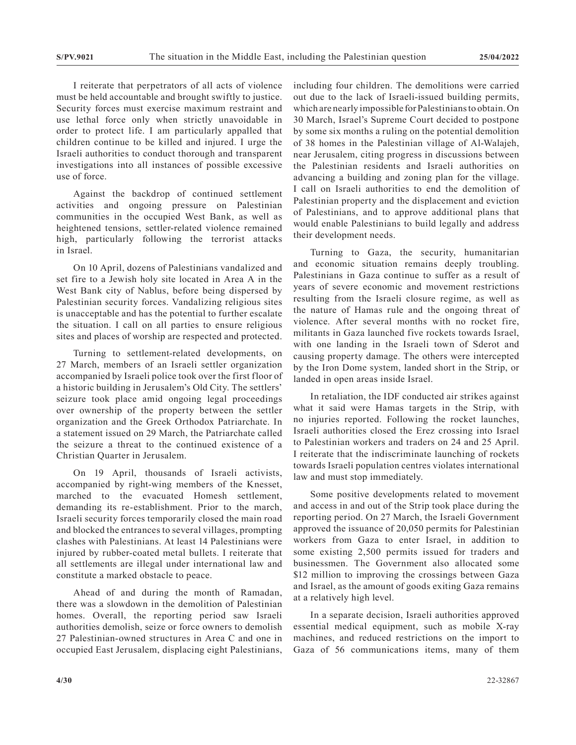I reiterate that perpetrators of all acts of violence must be held accountable and brought swiftly to justice. Security forces must exercise maximum restraint and use lethal force only when strictly unavoidable in order to protect life. I am particularly appalled that children continue to be killed and injured. I urge the Israeli authorities to conduct thorough and transparent investigations into all instances of possible excessive use of force.

Against the backdrop of continued settlement activities and ongoing pressure on Palestinian communities in the occupied West Bank, as well as heightened tensions, settler-related violence remained high, particularly following the terrorist attacks in Israel.

On 10 April, dozens of Palestinians vandalized and set fire to a Jewish holy site located in Area A in the West Bank city of Nablus, before being dispersed by Palestinian security forces. Vandalizing religious sites is unacceptable and has the potential to further escalate the situation. I call on all parties to ensure religious sites and places of worship are respected and protected.

Turning to settlement-related developments, on 27 March, members of an Israeli settler organization accompanied by Israeli police took over the first floor of a historic building in Jerusalem's Old City. The settlers' seizure took place amid ongoing legal proceedings over ownership of the property between the settler organization and the Greek Orthodox Patriarchate. In a statement issued on 29 March, the Patriarchate called the seizure a threat to the continued existence of a Christian Quarter in Jerusalem.

On 19 April, thousands of Israeli activists, accompanied by right-wing members of the Knesset, marched to the evacuated Homesh settlement, demanding its re-establishment. Prior to the march, Israeli security forces temporarily closed the main road and blocked the entrances to several villages, prompting clashes with Palestinians. At least 14 Palestinians were injured by rubber-coated metal bullets. I reiterate that all settlements are illegal under international law and constitute a marked obstacle to peace.

Ahead of and during the month of Ramadan, there was a slowdown in the demolition of Palestinian homes. Overall, the reporting period saw Israeli authorities demolish, seize or force owners to demolish 27 Palestinian-owned structures in Area C and one in occupied East Jerusalem, displacing eight Palestinians, including four children. The demolitions were carried out due to the lack of Israeli-issued building permits, which are nearly impossible for Palestinians to obtain. On 30 March, Israel's Supreme Court decided to postpone by some six months a ruling on the potential demolition of 38 homes in the Palestinian village of Al-Walajeh, near Jerusalem, citing progress in discussions between the Palestinian residents and Israeli authorities on advancing a building and zoning plan for the village. I call on Israeli authorities to end the demolition of Palestinian property and the displacement and eviction of Palestinians, and to approve additional plans that would enable Palestinians to build legally and address their development needs.

Turning to Gaza, the security, humanitarian and economic situation remains deeply troubling. Palestinians in Gaza continue to suffer as a result of years of severe economic and movement restrictions resulting from the Israeli closure regime, as well as the nature of Hamas rule and the ongoing threat of violence. After several months with no rocket fire, militants in Gaza launched five rockets towards Israel, with one landing in the Israeli town of Sderot and causing property damage. The others were intercepted by the Iron Dome system, landed short in the Strip, or landed in open areas inside Israel.

In retaliation, the IDF conducted air strikes against what it said were Hamas targets in the Strip, with no injuries reported. Following the rocket launches, Israeli authorities closed the Erez crossing into Israel to Palestinian workers and traders on 24 and 25 April. I reiterate that the indiscriminate launching of rockets towards Israeli population centres violates international law and must stop immediately.

Some positive developments related to movement and access in and out of the Strip took place during the reporting period. On 27 March, the Israeli Government approved the issuance of 20,050 permits for Palestinian workers from Gaza to enter Israel, in addition to some existing 2,500 permits issued for traders and businessmen. The Government also allocated some \$12 million to improving the crossings between Gaza and Israel, as the amount of goods exiting Gaza remains at a relatively high level.

In a separate decision, Israeli authorities approved essential medical equipment, such as mobile X-ray machines, and reduced restrictions on the import to Gaza of 56 communications items, many of them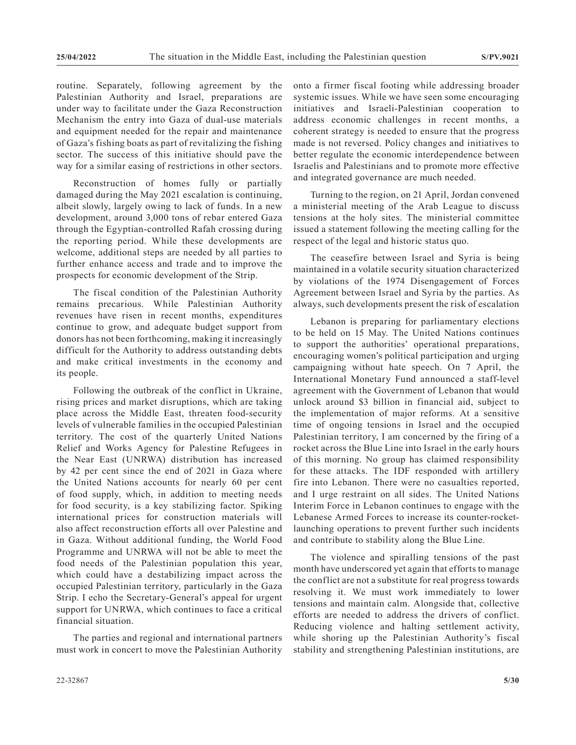routine. Separately, following agreement by the Palestinian Authority and Israel, preparations are under way to facilitate under the Gaza Reconstruction Mechanism the entry into Gaza of dual-use materials and equipment needed for the repair and maintenance of Gaza's fishing boats as part of revitalizing the fishing sector. The success of this initiative should pave the way for a similar easing of restrictions in other sectors.

Reconstruction of homes fully or partially damaged during the May 2021 escalation is continuing, albeit slowly, largely owing to lack of funds. In a new development, around 3,000 tons of rebar entered Gaza through the Egyptian-controlled Rafah crossing during the reporting period. While these developments are welcome, additional steps are needed by all parties to further enhance access and trade and to improve the prospects for economic development of the Strip.

The fiscal condition of the Palestinian Authority remains precarious. While Palestinian Authority revenues have risen in recent months, expenditures continue to grow, and adequate budget support from donors has not been forthcoming, making it increasingly difficult for the Authority to address outstanding debts and make critical investments in the economy and its people.

Following the outbreak of the conflict in Ukraine, rising prices and market disruptions, which are taking place across the Middle East, threaten food-security levels of vulnerable families in the occupied Palestinian territory. The cost of the quarterly United Nations Relief and Works Agency for Palestine Refugees in the Near East (UNRWA) distribution has increased by 42 per cent since the end of 2021 in Gaza where the United Nations accounts for nearly 60 per cent of food supply, which, in addition to meeting needs for food security, is a key stabilizing factor. Spiking international prices for construction materials will also affect reconstruction efforts all over Palestine and in Gaza. Without additional funding, the World Food Programme and UNRWA will not be able to meet the food needs of the Palestinian population this year, which could have a destabilizing impact across the occupied Palestinian territory, particularly in the Gaza Strip. I echo the Secretary-General's appeal for urgent support for UNRWA, which continues to face a critical financial situation.

The parties and regional and international partners must work in concert to move the Palestinian Authority onto a firmer fiscal footing while addressing broader systemic issues. While we have seen some encouraging initiatives and Israeli-Palestinian cooperation to address economic challenges in recent months, a coherent strategy is needed to ensure that the progress made is not reversed. Policy changes and initiatives to better regulate the economic interdependence between Israelis and Palestinians and to promote more effective and integrated governance are much needed.

Turning to the region, on 21 April, Jordan convened a ministerial meeting of the Arab League to discuss tensions at the holy sites. The ministerial committee issued a statement following the meeting calling for the respect of the legal and historic status quo.

The ceasefire between Israel and Syria is being maintained in a volatile security situation characterized by violations of the 1974 Disengagement of Forces Agreement between Israel and Syria by the parties. As always, such developments present the risk of escalation

Lebanon is preparing for parliamentary elections to be held on 15 May. The United Nations continues to support the authorities' operational preparations, encouraging women's political participation and urging campaigning without hate speech. On 7 April, the International Monetary Fund announced a staff-level agreement with the Government of Lebanon that would unlock around \$3 billion in financial aid, subject to the implementation of major reforms. At a sensitive time of ongoing tensions in Israel and the occupied Palestinian territory, I am concerned by the firing of a rocket across the Blue Line into Israel in the early hours of this morning. No group has claimed responsibility for these attacks. The IDF responded with artillery fire into Lebanon. There were no casualties reported, and I urge restraint on all sides. The United Nations Interim Force in Lebanon continues to engage with the Lebanese Armed Forces to increase its counter-rocketlaunching operations to prevent further such incidents and contribute to stability along the Blue Line.

The violence and spiralling tensions of the past month have underscored yet again that efforts to manage the conflict are not a substitute for real progress towards resolving it. We must work immediately to lower tensions and maintain calm. Alongside that, collective efforts are needed to address the drivers of conflict. Reducing violence and halting settlement activity, while shoring up the Palestinian Authority's fiscal stability and strengthening Palestinian institutions, are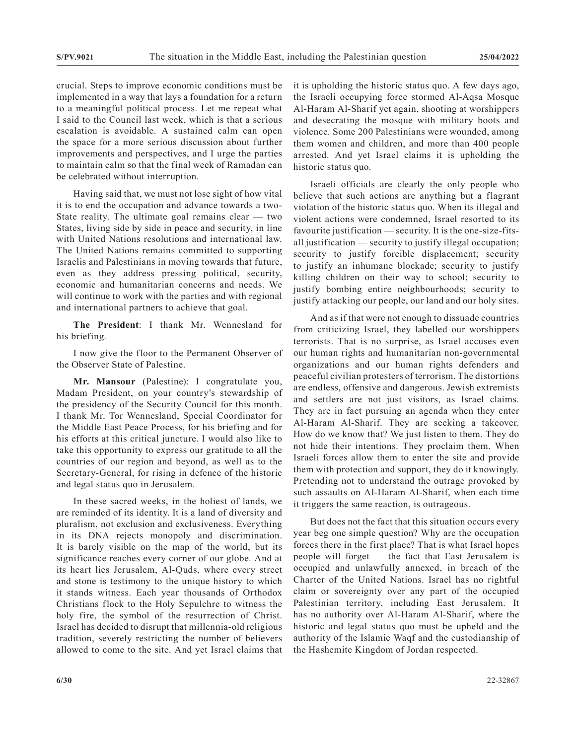crucial. Steps to improve economic conditions must be implemented in a way that lays a foundation for a return to a meaningful political process. Let me repeat what I said to the Council last week, which is that a serious escalation is avoidable. A sustained calm can open the space for a more serious discussion about further improvements and perspectives, and I urge the parties to maintain calm so that the final week of Ramadan can be celebrated without interruption.

Having said that, we must not lose sight of how vital it is to end the occupation and advance towards a two-State reality. The ultimate goal remains clear — two States, living side by side in peace and security, in line with United Nations resolutions and international law. The United Nations remains committed to supporting Israelis and Palestinians in moving towards that future, even as they address pressing political, security, economic and humanitarian concerns and needs. We will continue to work with the parties and with regional and international partners to achieve that goal.

**The President**: I thank Mr. Wennesland for his briefing.

I now give the floor to the Permanent Observer of the Observer State of Palestine.

**Mr. Mansour** (Palestine): I congratulate you, Madam President, on your country's stewardship of the presidency of the Security Council for this month. I thank Mr. Tor Wennesland, Special Coordinator for the Middle East Peace Process, for his briefing and for his efforts at this critical juncture. I would also like to take this opportunity to express our gratitude to all the countries of our region and beyond, as well as to the Secretary-General, for rising in defence of the historic and legal status quo in Jerusalem.

In these sacred weeks, in the holiest of lands, we are reminded of its identity. It is a land of diversity and pluralism, not exclusion and exclusiveness. Everything in its DNA rejects monopoly and discrimination. It is barely visible on the map of the world, but its significance reaches every corner of our globe. And at its heart lies Jerusalem, Al-Quds, where every street and stone is testimony to the unique history to which it stands witness. Each year thousands of Orthodox Christians flock to the Holy Sepulchre to witness the holy fire, the symbol of the resurrection of Christ. Israel has decided to disrupt that millennia-old religious tradition, severely restricting the number of believers allowed to come to the site. And yet Israel claims that

it is upholding the historic status quo. A few days ago, the Israeli occupying force stormed Al-Aqsa Mosque Al-Haram Al-Sharif yet again, shooting at worshippers and desecrating the mosque with military boots and violence. Some 200 Palestinians were wounded, among them women and children, and more than 400 people arrested. And yet Israel claims it is upholding the historic status quo.

Israeli officials are clearly the only people who believe that such actions are anything but a flagrant violation of the historic status quo. When its illegal and violent actions were condemned, Israel resorted to its favourite justification — security. It is the one-size-fitsall justification — security to justify illegal occupation; security to justify forcible displacement; security to justify an inhumane blockade; security to justify killing children on their way to school; security to justify bombing entire neighbourhoods; security to justify attacking our people, our land and our holy sites.

And as if that were not enough to dissuade countries from criticizing Israel, they labelled our worshippers terrorists. That is no surprise, as Israel accuses even our human rights and humanitarian non-governmental organizations and our human rights defenders and peaceful civilian protesters of terrorism. The distortions are endless, offensive and dangerous. Jewish extremists and settlers are not just visitors, as Israel claims. They are in fact pursuing an agenda when they enter Al-Haram Al-Sharif. They are seeking a takeover. How do we know that? We just listen to them. They do not hide their intentions. They proclaim them. When Israeli forces allow them to enter the site and provide them with protection and support, they do it knowingly. Pretending not to understand the outrage provoked by such assaults on Al-Haram Al-Sharif, when each time it triggers the same reaction, is outrageous.

But does not the fact that this situation occurs every year beg one simple question? Why are the occupation forces there in the first place? That is what Israel hopes people will forget — the fact that East Jerusalem is occupied and unlawfully annexed, in breach of the Charter of the United Nations. Israel has no rightful claim or sovereignty over any part of the occupied Palestinian territory, including East Jerusalem. It has no authority over Al-Haram Al-Sharif, where the historic and legal status quo must be upheld and the authority of the Islamic Waqf and the custodianship of the Hashemite Kingdom of Jordan respected.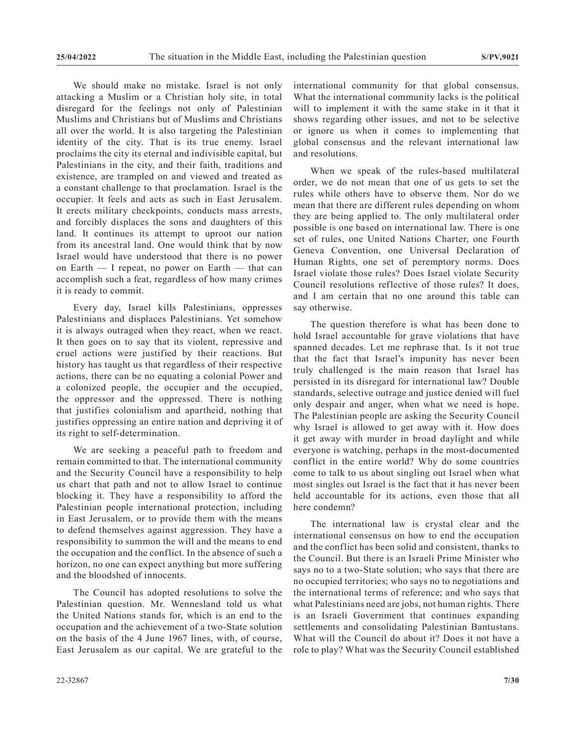We should make no mistake. Israel is not only attacking a Muslim or a Christian holy site, in total disregard for the feelings not only of Palestinian Muslims and Christians but of Muslims and Christians all over the world. It is also targeting the Palestinian identity of the city. That is its true enemy. Israel proclaims the city its eternal and indivisible capital, but Palestinians in the city, and their faith, traditions and existence, are trampled on and viewed and treated as a constant challenge to that proclamation. Israel is the occupier. It feels and acts as such in East Jerusalem. It erects military checkpoints, conducts mass arrests, and forcibly displaces the sons and daughters of this land. It continues its attempt to uproot our nation from its ancestral land. One would think that by now Israel would have understood that there is no power on Earth — I repeat, no power on Earth — that can accomplish such a feat, regardless of how many crimes it is ready to commit.

Every day, Israel kills Palestinians, oppresses Palestinians and displaces Palestinians. Yet somehow it is always outraged when they react, when we react. It then goes on to say that its violent, repressive and cruel actions were justified by their reactions. But history has taught us that regardless of their respective actions, there can be no equating a colonial Power and a colonized people, the occupier and the occupied, the oppressor and the oppressed. There is nothing that justifies colonialism and apartheid, nothing that justifies oppressing an entire nation and depriving it of its right to self-determination.

We are seeking a peaceful path to freedom and remain committed to that. The international community and the Security Council have a responsibility to help us chart that path and not to allow Israel to continue blocking it. They have a responsibility to afford the Palestinian people international protection, including in East Jerusalem, or to provide them with the means to defend themselves against aggression. They have a responsibility to summon the will and the means to end the occupation and the conflict. In the absence of such a horizon, no one can expect anything but more suffering and the bloodshed of innocents.

The Council has adopted resolutions to solve the Palestinian question. Mr. Wennesland told us what the United Nations stands for, which is an end to the occupation and the achievement of a two-State solution on the basis of the 4 June 1967 lines, with, of course, East Jerusalem as our capital. We are grateful to the international community for that global consensus. What the international community lacks is the political will to implement it with the same stake in it that it shows regarding other issues, and not to be selective or ignore us when it comes to implementing that global consensus and the relevant international law and resolutions.

When we speak of the rules-based multilateral order, we do not mean that one of us gets to set the rules while others have to observe them. Nor do we mean that there are different rules depending on whom they are being applied to. The only multilateral order possible is one based on international law. There is one set of rules, one United Nations Charter, one Fourth Geneva Convention, one Universal Declaration of Human Rights, one set of peremptory norms. Does Israel violate those rules? Does Israel violate Security Council resolutions reflective of those rules? It does, and I am certain that no one around this table can say otherwise.

The question therefore is what has been done to hold Israel accountable for grave violations that have spanned decades. Let me rephrase that. Is it not true that the fact that Israel's impunity has never been truly challenged is the main reason that Israel has persisted in its disregard for international law? Double standards, selective outrage and justice denied will fuel only despair and anger, when what we need is hope. The Palestinian people are asking the Security Council why Israel is allowed to get away with it. How does it get away with murder in broad daylight and while everyone is watching, perhaps in the most-documented conflict in the entire world? Why do some countries come to talk to us about singling out Israel when what most singles out Israel is the fact that it has never been held accountable for its actions, even those that all here condemn?

The international law is crystal clear and the international consensus on how to end the occupation and the conflict has been solid and consistent, thanks to the Council. But there is an Israeli Prime Minister who says no to a two-State solution; who says that there are no occupied territories; who says no to negotiations and the international terms of reference; and who says that what Palestinians need are jobs, not human rights. There is an Israeli Government that continues expanding settlements and consolidating Palestinian Bantustans. What will the Council do about it? Does it not have a role to play? What was the Security Council established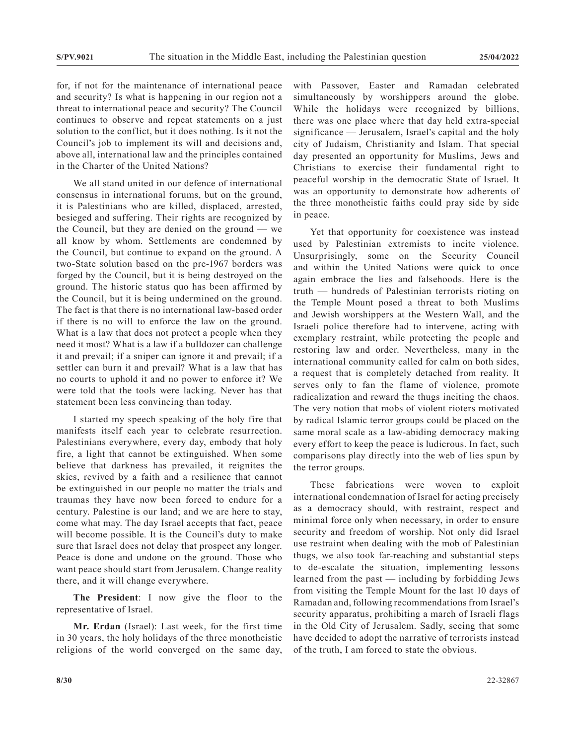for, if not for the maintenance of international peace and security? Is what is happening in our region not a threat to international peace and security? The Council continues to observe and repeat statements on a just solution to the conflict, but it does nothing. Is it not the Council's job to implement its will and decisions and, above all, international law and the principles contained in the Charter of the United Nations?

We all stand united in our defence of international consensus in international forums, but on the ground, it is Palestinians who are killed, displaced, arrested, besieged and suffering. Their rights are recognized by the Council, but they are denied on the ground — we all know by whom. Settlements are condemned by the Council, but continue to expand on the ground. A two-State solution based on the pre-1967 borders was forged by the Council, but it is being destroyed on the ground. The historic status quo has been affirmed by the Council, but it is being undermined on the ground. The fact is that there is no international law-based order if there is no will to enforce the law on the ground. What is a law that does not protect a people when they need it most? What is a law if a bulldozer can challenge it and prevail; if a sniper can ignore it and prevail; if a settler can burn it and prevail? What is a law that has no courts to uphold it and no power to enforce it? We were told that the tools were lacking. Never has that statement been less convincing than today.

I started my speech speaking of the holy fire that manifests itself each year to celebrate resurrection. Palestinians everywhere, every day, embody that holy fire, a light that cannot be extinguished. When some believe that darkness has prevailed, it reignites the skies, revived by a faith and a resilience that cannot be extinguished in our people no matter the trials and traumas they have now been forced to endure for a century. Palestine is our land; and we are here to stay, come what may. The day Israel accepts that fact, peace will become possible. It is the Council's duty to make sure that Israel does not delay that prospect any longer. Peace is done and undone on the ground. Those who want peace should start from Jerusalem. Change reality there, and it will change everywhere.

**The President**: I now give the floor to the representative of Israel.

**Mr. Erdan** (Israel): Last week, for the first time in 30 years, the holy holidays of the three monotheistic religions of the world converged on the same day,

with Passover, Easter and Ramadan celebrated simultaneously by worshippers around the globe. While the holidays were recognized by billions, there was one place where that day held extra-special significance — Jerusalem, Israel's capital and the holy city of Judaism, Christianity and Islam. That special day presented an opportunity for Muslims, Jews and Christians to exercise their fundamental right to peaceful worship in the democratic State of Israel. It was an opportunity to demonstrate how adherents of the three monotheistic faiths could pray side by side in peace.

Yet that opportunity for coexistence was instead used by Palestinian extremists to incite violence. Unsurprisingly, some on the Security Council and within the United Nations were quick to once again embrace the lies and falsehoods. Here is the truth — hundreds of Palestinian terrorists rioting on the Temple Mount posed a threat to both Muslims and Jewish worshippers at the Western Wall, and the Israeli police therefore had to intervene, acting with exemplary restraint, while protecting the people and restoring law and order. Nevertheless, many in the international community called for calm on both sides, a request that is completely detached from reality. It serves only to fan the flame of violence, promote radicalization and reward the thugs inciting the chaos. The very notion that mobs of violent rioters motivated by radical Islamic terror groups could be placed on the same moral scale as a law-abiding democracy making every effort to keep the peace is ludicrous. In fact, such comparisons play directly into the web of lies spun by the terror groups.

These fabrications were woven to exploit international condemnation of Israel for acting precisely as a democracy should, with restraint, respect and minimal force only when necessary, in order to ensure security and freedom of worship. Not only did Israel use restraint when dealing with the mob of Palestinian thugs, we also took far-reaching and substantial steps to de-escalate the situation, implementing lessons learned from the past — including by forbidding Jews from visiting the Temple Mount for the last 10 days of Ramadan and, following recommendations from Israel's security apparatus, prohibiting a march of Israeli flags in the Old City of Jerusalem. Sadly, seeing that some have decided to adopt the narrative of terrorists instead of the truth, I am forced to state the obvious.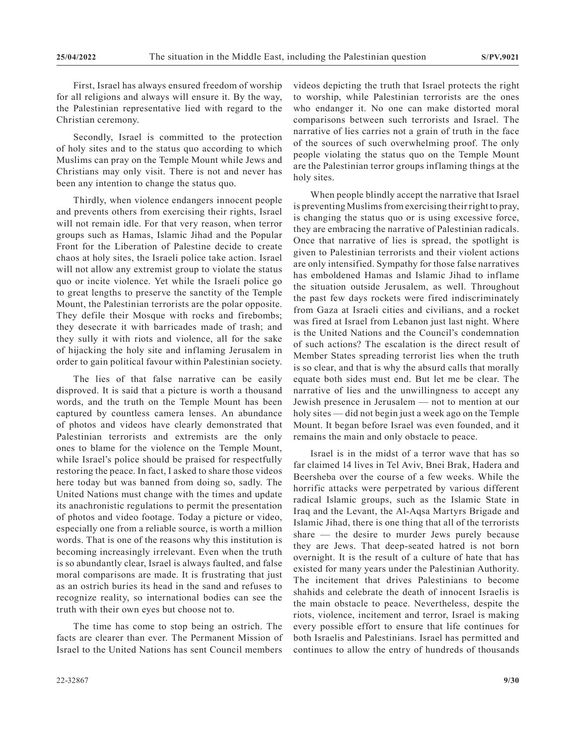First, Israel has always ensured freedom of worship for all religions and always will ensure it. By the way, the Palestinian representative lied with regard to the Christian ceremony.

Secondly, Israel is committed to the protection of holy sites and to the status quo according to which Muslims can pray on the Temple Mount while Jews and Christians may only visit. There is not and never has been any intention to change the status quo.

Thirdly, when violence endangers innocent people and prevents others from exercising their rights, Israel will not remain idle. For that very reason, when terror groups such as Hamas, Islamic Jihad and the Popular Front for the Liberation of Palestine decide to create chaos at holy sites, the Israeli police take action. Israel will not allow any extremist group to violate the status quo or incite violence. Yet while the Israeli police go to great lengths to preserve the sanctity of the Temple Mount, the Palestinian terrorists are the polar opposite. They defile their Mosque with rocks and firebombs; they desecrate it with barricades made of trash; and they sully it with riots and violence, all for the sake of hijacking the holy site and inflaming Jerusalem in order to gain political favour within Palestinian society.

The lies of that false narrative can be easily disproved. It is said that a picture is worth a thousand words, and the truth on the Temple Mount has been captured by countless camera lenses. An abundance of photos and videos have clearly demonstrated that Palestinian terrorists and extremists are the only ones to blame for the violence on the Temple Mount, while Israel's police should be praised for respectfully restoring the peace. In fact, I asked to share those videos here today but was banned from doing so, sadly. The United Nations must change with the times and update its anachronistic regulations to permit the presentation of photos and video footage. Today a picture or video, especially one from a reliable source, is worth a million words. That is one of the reasons why this institution is becoming increasingly irrelevant. Even when the truth is so abundantly clear, Israel is always faulted, and false moral comparisons are made. It is frustrating that just as an ostrich buries its head in the sand and refuses to recognize reality, so international bodies can see the truth with their own eyes but choose not to.

The time has come to stop being an ostrich. The facts are clearer than ever. The Permanent Mission of Israel to the United Nations has sent Council members

videos depicting the truth that Israel protects the right to worship, while Palestinian terrorists are the ones who endanger it. No one can make distorted moral comparisons between such terrorists and Israel. The narrative of lies carries not a grain of truth in the face of the sources of such overwhelming proof. The only people violating the status quo on the Temple Mount are the Palestinian terror groups inflaming things at the holy sites.

When people blindly accept the narrative that Israel is preventing Muslims from exercising their right to pray, is changing the status quo or is using excessive force, they are embracing the narrative of Palestinian radicals. Once that narrative of lies is spread, the spotlight is given to Palestinian terrorists and their violent actions are only intensified. Sympathy for those false narratives has emboldened Hamas and Islamic Jihad to inflame the situation outside Jerusalem, as well. Throughout the past few days rockets were fired indiscriminately from Gaza at Israeli cities and civilians, and a rocket was fired at Israel from Lebanon just last night. Where is the United Nations and the Council's condemnation of such actions? The escalation is the direct result of Member States spreading terrorist lies when the truth is so clear, and that is why the absurd calls that morally equate both sides must end. But let me be clear. The narrative of lies and the unwillingness to accept any Jewish presence in Jerusalem — not to mention at our holy sites — did not begin just a week ago on the Temple Mount. It began before Israel was even founded, and it remains the main and only obstacle to peace.

Israel is in the midst of a terror wave that has so far claimed 14 lives in Tel Aviv, Bnei Brak, Hadera and Beersheba over the course of a few weeks. While the horrific attacks were perpetrated by various different radical Islamic groups, such as the Islamic State in Iraq and the Levant, the Al-Aqsa Martyrs Brigade and Islamic Jihad, there is one thing that all of the terrorists share — the desire to murder Jews purely because they are Jews. That deep-seated hatred is not born overnight. It is the result of a culture of hate that has existed for many years under the Palestinian Authority. The incitement that drives Palestinians to become shahids and celebrate the death of innocent Israelis is the main obstacle to peace. Nevertheless, despite the riots, violence, incitement and terror, Israel is making every possible effort to ensure that life continues for both Israelis and Palestinians. Israel has permitted and continues to allow the entry of hundreds of thousands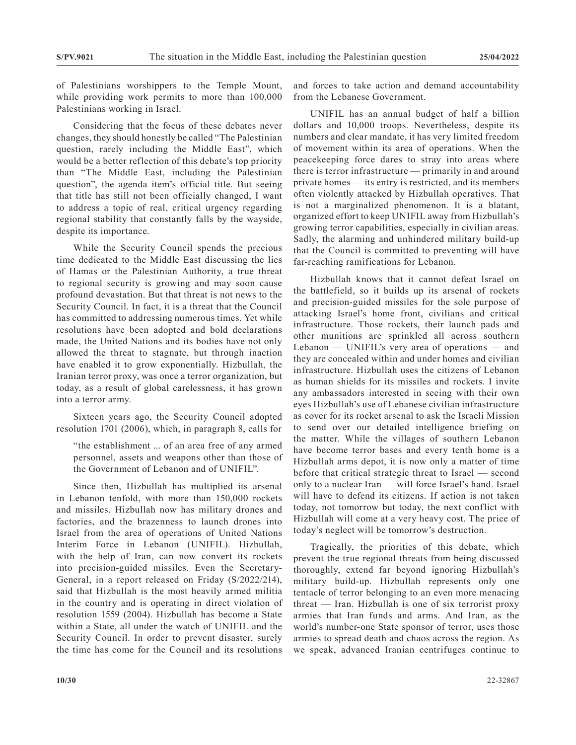of Palestinians worshippers to the Temple Mount, while providing work permits to more than 100,000 Palestinians working in Israel.

Considering that the focus of these debates never changes, they should honestly be called "The Palestinian question, rarely including the Middle East", which would be a better reflection of this debate's top priority than "The Middle East, including the Palestinian question", the agenda item's official title. But seeing that title has still not been officially changed, I want to address a topic of real, critical urgency regarding regional stability that constantly falls by the wayside, despite its importance.

While the Security Council spends the precious time dedicated to the Middle East discussing the lies of Hamas or the Palestinian Authority, a true threat to regional security is growing and may soon cause profound devastation. But that threat is not news to the Security Council. In fact, it is a threat that the Council has committed to addressing numerous times. Yet while resolutions have been adopted and bold declarations made, the United Nations and its bodies have not only allowed the threat to stagnate, but through inaction have enabled it to grow exponentially. Hizbullah, the Iranian terror proxy, was once a terror organization, but today, as a result of global carelessness, it has grown into a terror army.

Sixteen years ago, the Security Council adopted resolution 1701 (2006), which, in paragraph 8, calls for

"the establishment ... of an area free of any armed personnel, assets and weapons other than those of the Government of Lebanon and of UNIFIL".

Since then, Hizbullah has multiplied its arsenal in Lebanon tenfold, with more than 150,000 rockets and missiles. Hizbullah now has military drones and factories, and the brazenness to launch drones into Israel from the area of operations of United Nations Interim Force in Lebanon (UNIFIL). Hizbullah, with the help of Iran, can now convert its rockets into precision-guided missiles. Even the Secretary-General, in a report released on Friday (S/2022/214), said that Hizbullah is the most heavily armed militia in the country and is operating in direct violation of resolution 1559 (2004). Hizbullah has become a State within a State, all under the watch of UNIFIL and the Security Council. In order to prevent disaster, surely the time has come for the Council and its resolutions

and forces to take action and demand accountability from the Lebanese Government.

UNIFIL has an annual budget of half a billion dollars and 10,000 troops. Nevertheless, despite its numbers and clear mandate, it has very limited freedom of movement within its area of operations. When the peacekeeping force dares to stray into areas where there is terror infrastructure — primarily in and around private homes — its entry is restricted, and its members often violently attacked by Hizbullah operatives. That is not a marginalized phenomenon. It is a blatant, organized effort to keep UNIFIL away from Hizbullah's growing terror capabilities, especially in civilian areas. Sadly, the alarming and unhindered military build-up that the Council is committed to preventing will have far-reaching ramifications for Lebanon.

Hizbullah knows that it cannot defeat Israel on the battlefield, so it builds up its arsenal of rockets and precision-guided missiles for the sole purpose of attacking Israel's home front, civilians and critical infrastructure. Those rockets, their launch pads and other munitions are sprinkled all across southern Lebanon — UNIFIL's very area of operations — and they are concealed within and under homes and civilian infrastructure. Hizbullah uses the citizens of Lebanon as human shields for its missiles and rockets. I invite any ambassadors interested in seeing with their own eyes Hizbullah's use of Lebanese civilian infrastructure as cover for its rocket arsenal to ask the Israeli Mission to send over our detailed intelligence briefing on the matter. While the villages of southern Lebanon have become terror bases and every tenth home is a Hizbullah arms depot, it is now only a matter of time before that critical strategic threat to Israel — second only to a nuclear Iran — will force Israel's hand. Israel will have to defend its citizens. If action is not taken today, not tomorrow but today, the next conflict with Hizbullah will come at a very heavy cost. The price of today's neglect will be tomorrow's destruction.

Tragically, the priorities of this debate, which prevent the true regional threats from being discussed thoroughly, extend far beyond ignoring Hizbullah's military build-up. Hizbullah represents only one tentacle of terror belonging to an even more menacing threat — Iran. Hizbullah is one of six terrorist proxy armies that Iran funds and arms. And Iran, as the world's number-one State sponsor of terror, uses those armies to spread death and chaos across the region. As we speak, advanced Iranian centrifuges continue to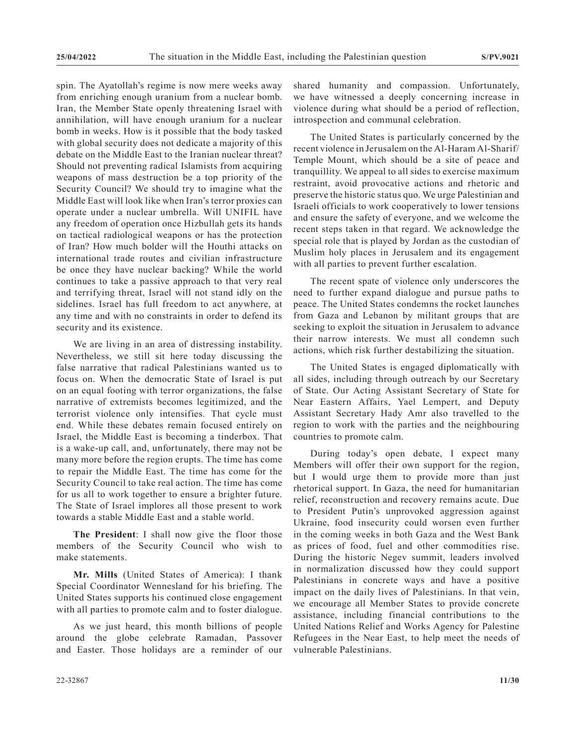spin. The Ayatollah's regime is now mere weeks away from enriching enough uranium from a nuclear bomb. Iran, the Member State openly threatening Israel with annihilation, will have enough uranium for a nuclear bomb in weeks. How is it possible that the body tasked with global security does not dedicate a majority of this debate on the Middle East to the Iranian nuclear threat? Should not preventing radical Islamists from acquiring weapons of mass destruction be a top priority of the Security Council? We should try to imagine what the Middle East will look like when Iran's terror proxies can operate under a nuclear umbrella. Will UNIFIL have any freedom of operation once Hizbullah gets its hands on tactical radiological weapons or has the protection of Iran? How much bolder will the Houthi attacks on international trade routes and civilian infrastructure be once they have nuclear backing? While the world continues to take a passive approach to that very real and terrifying threat, Israel will not stand idly on the sidelines. Israel has full freedom to act anywhere, at any time and with no constraints in order to defend its security and its existence.

We are living in an area of distressing instability. Nevertheless, we still sit here today discussing the false narrative that radical Palestinians wanted us to focus on. When the democratic State of Israel is put on an equal footing with terror organizations, the false narrative of extremists becomes legitimized, and the terrorist violence only intensifies. That cycle must end. While these debates remain focused entirely on Israel, the Middle East is becoming a tinderbox. That is a wake-up call, and, unfortunately, there may not be many more before the region erupts. The time has come to repair the Middle East. The time has come for the Security Council to take real action. The time has come for us all to work together to ensure a brighter future. The State of Israel implores all those present to work towards a stable Middle East and a stable world.

**The President**: I shall now give the floor those members of the Security Council who wish to make statements.

**Mr. Mills** (United States of America): I thank Special Coordinator Wennesland for his briefing. The United States supports his continued close engagement with all parties to promote calm and to foster dialogue.

As we just heard, this month billions of people around the globe celebrate Ramadan, Passover and Easter. Those holidays are a reminder of our shared humanity and compassion. Unfortunately, we have witnessed a deeply concerning increase in violence during what should be a period of reflection, introspection and communal celebration.

The United States is particularly concerned by the recent violence in Jerusalem on the Al-Haram Al-Sharif/ Temple Mount, which should be a site of peace and tranquillity. We appeal to all sides to exercise maximum restraint, avoid provocative actions and rhetoric and preserve the historic status quo. We urge Palestinian and Israeli officials to work cooperatively to lower tensions and ensure the safety of everyone, and we welcome the recent steps taken in that regard. We acknowledge the special role that is played by Jordan as the custodian of Muslim holy places in Jerusalem and its engagement with all parties to prevent further escalation.

The recent spate of violence only underscores the need to further expand dialogue and pursue paths to peace. The United States condemns the rocket launches from Gaza and Lebanon by militant groups that are seeking to exploit the situation in Jerusalem to advance their narrow interests. We must all condemn such actions, which risk further destabilizing the situation.

The United States is engaged diplomatically with all sides, including through outreach by our Secretary of State. Our Acting Assistant Secretary of State for Near Eastern Affairs, Yael Lempert, and Deputy Assistant Secretary Hady Amr also travelled to the region to work with the parties and the neighbouring countries to promote calm.

During today's open debate, I expect many Members will offer their own support for the region, but I would urge them to provide more than just rhetorical support. In Gaza, the need for humanitarian relief, reconstruction and recovery remains acute. Due to President Putin's unprovoked aggression against Ukraine, food insecurity could worsen even further in the coming weeks in both Gaza and the West Bank as prices of food, fuel and other commodities rise. During the historic Negev summit, leaders involved in normalization discussed how they could support Palestinians in concrete ways and have a positive impact on the daily lives of Palestinians. In that vein, we encourage all Member States to provide concrete assistance, including financial contributions to the United Nations Relief and Works Agency for Palestine Refugees in the Near East, to help meet the needs of vulnerable Palestinians.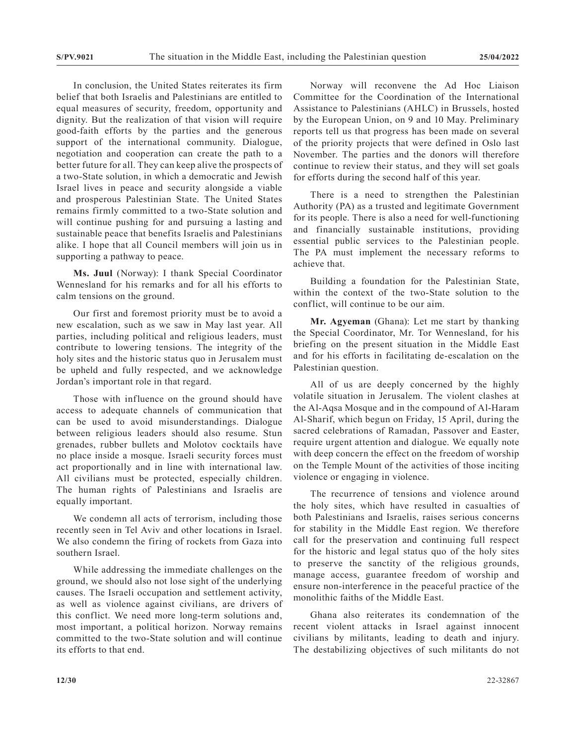In conclusion, the United States reiterates its firm belief that both Israelis and Palestinians are entitled to equal measures of security, freedom, opportunity and dignity. But the realization of that vision will require good-faith efforts by the parties and the generous support of the international community. Dialogue, negotiation and cooperation can create the path to a better future for all. They can keep alive the prospects of a two-State solution, in which a democratic and Jewish Israel lives in peace and security alongside a viable and prosperous Palestinian State. The United States remains firmly committed to a two-State solution and will continue pushing for and pursuing a lasting and sustainable peace that benefits Israelis and Palestinians alike. I hope that all Council members will join us in supporting a pathway to peace.

**Ms. Juul** (Norway): I thank Special Coordinator Wennesland for his remarks and for all his efforts to calm tensions on the ground.

Our first and foremost priority must be to avoid a new escalation, such as we saw in May last year. All parties, including political and religious leaders, must contribute to lowering tensions. The integrity of the holy sites and the historic status quo in Jerusalem must be upheld and fully respected, and we acknowledge Jordan's important role in that regard.

Those with influence on the ground should have access to adequate channels of communication that can be used to avoid misunderstandings. Dialogue between religious leaders should also resume. Stun grenades, rubber bullets and Molotov cocktails have no place inside a mosque. Israeli security forces must act proportionally and in line with international law. All civilians must be protected, especially children. The human rights of Palestinians and Israelis are equally important.

We condemn all acts of terrorism, including those recently seen in Tel Aviv and other locations in Israel. We also condemn the firing of rockets from Gaza into southern Israel.

While addressing the immediate challenges on the ground, we should also not lose sight of the underlying causes. The Israeli occupation and settlement activity, as well as violence against civilians, are drivers of this conflict. We need more long-term solutions and, most important, a political horizon. Norway remains committed to the two-State solution and will continue its efforts to that end.

Norway will reconvene the Ad Hoc Liaison Committee for the Coordination of the International Assistance to Palestinians (AHLC) in Brussels, hosted by the European Union, on 9 and 10 May. Preliminary reports tell us that progress has been made on several of the priority projects that were defined in Oslo last November. The parties and the donors will therefore continue to review their status, and they will set goals for efforts during the second half of this year.

There is a need to strengthen the Palestinian Authority (PA) as a trusted and legitimate Government for its people. There is also a need for well-functioning and financially sustainable institutions, providing essential public services to the Palestinian people. The PA must implement the necessary reforms to achieve that.

Building a foundation for the Palestinian State, within the context of the two-State solution to the conflict, will continue to be our aim.

**Mr. Agyeman** (Ghana): Let me start by thanking the Special Coordinator, Mr. Tor Wennesland, for his briefing on the present situation in the Middle East and for his efforts in facilitating de-escalation on the Palestinian question.

All of us are deeply concerned by the highly volatile situation in Jerusalem. The violent clashes at the Al-Aqsa Mosque and in the compound of Al-Haram Al-Sharif, which begun on Friday, 15 April, during the sacred celebrations of Ramadan, Passover and Easter, require urgent attention and dialogue. We equally note with deep concern the effect on the freedom of worship on the Temple Mount of the activities of those inciting violence or engaging in violence.

The recurrence of tensions and violence around the holy sites, which have resulted in casualties of both Palestinians and Israelis, raises serious concerns for stability in the Middle East region. We therefore call for the preservation and continuing full respect for the historic and legal status quo of the holy sites to preserve the sanctity of the religious grounds, manage access, guarantee freedom of worship and ensure non-interference in the peaceful practice of the monolithic faiths of the Middle East.

Ghana also reiterates its condemnation of the recent violent attacks in Israel against innocent civilians by militants, leading to death and injury. The destabilizing objectives of such militants do not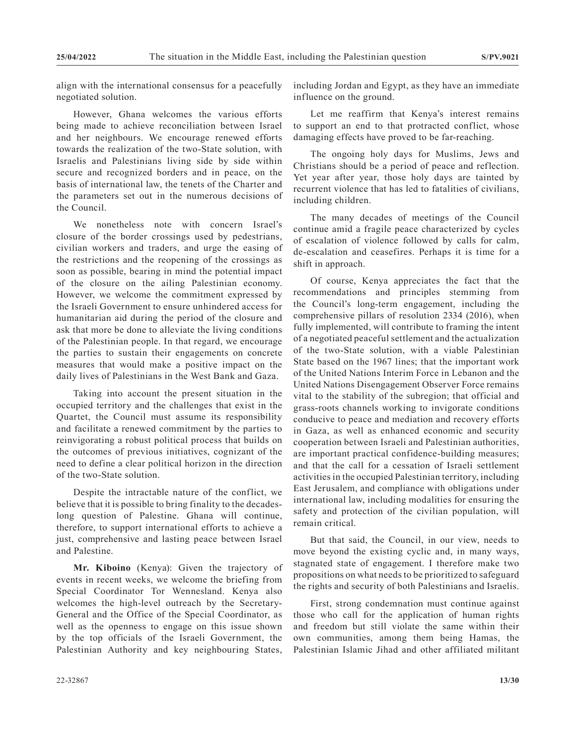align with the international consensus for a peacefully negotiated solution.

However, Ghana welcomes the various efforts being made to achieve reconciliation between Israel and her neighbours. We encourage renewed efforts towards the realization of the two-State solution, with Israelis and Palestinians living side by side within secure and recognized borders and in peace, on the basis of international law, the tenets of the Charter and the parameters set out in the numerous decisions of the Council.

We nonetheless note with concern Israel's closure of the border crossings used by pedestrians, civilian workers and traders, and urge the easing of the restrictions and the reopening of the crossings as soon as possible, bearing in mind the potential impact of the closure on the ailing Palestinian economy. However, we welcome the commitment expressed by the Israeli Government to ensure unhindered access for humanitarian aid during the period of the closure and ask that more be done to alleviate the living conditions of the Palestinian people. In that regard, we encourage the parties to sustain their engagements on concrete measures that would make a positive impact on the daily lives of Palestinians in the West Bank and Gaza.

Taking into account the present situation in the occupied territory and the challenges that exist in the Quartet, the Council must assume its responsibility and facilitate a renewed commitment by the parties to reinvigorating a robust political process that builds on the outcomes of previous initiatives, cognizant of the need to define a clear political horizon in the direction of the two-State solution.

Despite the intractable nature of the conflict, we believe that it is possible to bring finality to the decadeslong question of Palestine. Ghana will continue, therefore, to support international efforts to achieve a just, comprehensive and lasting peace between Israel and Palestine.

**Mr. Kiboino** (Kenya): Given the trajectory of events in recent weeks, we welcome the briefing from Special Coordinator Tor Wennesland. Kenya also welcomes the high-level outreach by the Secretary-General and the Office of the Special Coordinator, as well as the openness to engage on this issue shown by the top officials of the Israeli Government, the Palestinian Authority and key neighbouring States,

including Jordan and Egypt, as they have an immediate influence on the ground.

Let me reaffirm that Kenya's interest remains to support an end to that protracted conflict, whose damaging effects have proved to be far-reaching.

The ongoing holy days for Muslims, Jews and Christians should be a period of peace and reflection. Yet year after year, those holy days are tainted by recurrent violence that has led to fatalities of civilians, including children.

The many decades of meetings of the Council continue amid a fragile peace characterized by cycles of escalation of violence followed by calls for calm, de-escalation and ceasefires. Perhaps it is time for a shift in approach.

Of course, Kenya appreciates the fact that the recommendations and principles stemming from the Council's long-term engagement, including the comprehensive pillars of resolution 2334 (2016), when fully implemented, will contribute to framing the intent of a negotiated peaceful settlement and the actualization of the two-State solution, with a viable Palestinian State based on the 1967 lines; that the important work of the United Nations Interim Force in Lebanon and the United Nations Disengagement Observer Force remains vital to the stability of the subregion; that official and grass-roots channels working to invigorate conditions conducive to peace and mediation and recovery efforts in Gaza, as well as enhanced economic and security cooperation between Israeli and Palestinian authorities, are important practical confidence-building measures; and that the call for a cessation of Israeli settlement activities in the occupied Palestinian territory, including East Jerusalem, and compliance with obligations under international law, including modalities for ensuring the safety and protection of the civilian population, will remain critical.

But that said, the Council, in our view, needs to move beyond the existing cyclic and, in many ways, stagnated state of engagement. I therefore make two propositions on what needs to be prioritized to safeguard the rights and security of both Palestinians and Israelis.

First, strong condemnation must continue against those who call for the application of human rights and freedom but still violate the same within their own communities, among them being Hamas, the Palestinian Islamic Jihad and other affiliated militant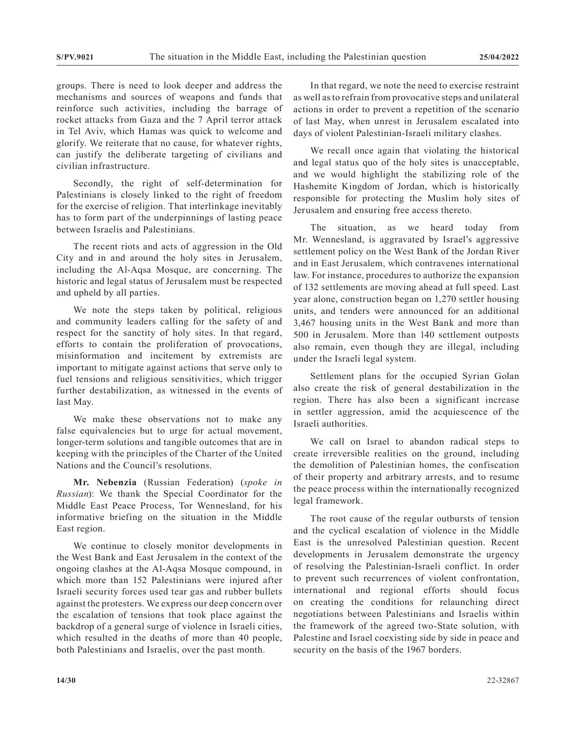groups. There is need to look deeper and address the mechanisms and sources of weapons and funds that reinforce such activities, including the barrage of rocket attacks from Gaza and the 7 April terror attack in Tel Aviv, which Hamas was quick to welcome and glorify. We reiterate that no cause, for whatever rights, can justify the deliberate targeting of civilians and civilian infrastructure.

Secondly, the right of self-determination for Palestinians is closely linked to the right of freedom for the exercise of religion. That interlinkage inevitably has to form part of the underpinnings of lasting peace between Israelis and Palestinians.

The recent riots and acts of aggression in the Old City and in and around the holy sites in Jerusalem, including the Al-Aqsa Mosque, are concerning. The historic and legal status of Jerusalem must be respected and upheld by all parties.

We note the steps taken by political, religious and community leaders calling for the safety of and respect for the sanctity of holy sites. In that regard, efforts to contain the proliferation of provocations, misinformation and incitement by extremists are important to mitigate against actions that serve only to fuel tensions and religious sensitivities, which trigger further destabilization, as witnessed in the events of last May.

We make these observations not to make any false equivalencies but to urge for actual movement, longer-term solutions and tangible outcomes that are in keeping with the principles of the Charter of the United Nations and the Council's resolutions.

**Mr. Nebenzia** (Russian Federation) (*spoke in Russian*): We thank the Special Coordinator for the Middle East Peace Process, Tor Wennesland, for his informative briefing on the situation in the Middle East region.

We continue to closely monitor developments in the West Bank and East Jerusalem in the context of the ongoing clashes at the Al-Aqsa Mosque compound, in which more than 152 Palestinians were injured after Israeli security forces used tear gas and rubber bullets against the protesters. We express our deep concern over the escalation of tensions that took place against the backdrop of a general surge of violence in Israeli cities, which resulted in the deaths of more than 40 people, both Palestinians and Israelis, over the past month.

In that regard, we note the need to exercise restraint as well as to refrain from provocative steps and unilateral actions in order to prevent a repetition of the scenario of last May, when unrest in Jerusalem escalated into days of violent Palestinian-Israeli military clashes.

We recall once again that violating the historical and legal status quo of the holy sites is unacceptable, and we would highlight the stabilizing role of the Hashemite Kingdom of Jordan, which is historically responsible for protecting the Muslim holy sites of Jerusalem and ensuring free access thereto.

The situation, as we heard today from Mr. Wennesland, is aggravated by Israel's aggressive settlement policy on the West Bank of the Jordan River and in East Jerusalem, which contravenes international law. For instance, procedures to authorize the expansion of 132 settlements are moving ahead at full speed. Last year alone, construction began on 1,270 settler housing units, and tenders were announced for an additional 3,467 housing units in the West Bank and more than 500 in Jerusalem. More than 140 settlement outposts also remain, even though they are illegal, including under the Israeli legal system.

Settlement plans for the occupied Syrian Golan also create the risk of general destabilization in the region. There has also been a significant increase in settler aggression, amid the acquiescence of the Israeli authorities.

We call on Israel to abandon radical steps to create irreversible realities on the ground, including the demolition of Palestinian homes, the confiscation of their property and arbitrary arrests, and to resume the peace process within the internationally recognized legal framework.

The root cause of the regular outbursts of tension and the cyclical escalation of violence in the Middle East is the unresolved Palestinian question. Recent developments in Jerusalem demonstrate the urgency of resolving the Palestinian-Israeli conflict. In order to prevent such recurrences of violent confrontation, international and regional efforts should focus on creating the conditions for relaunching direct negotiations between Palestinians and Israelis within the framework of the agreed two-State solution, with Palestine and Israel coexisting side by side in peace and security on the basis of the 1967 borders.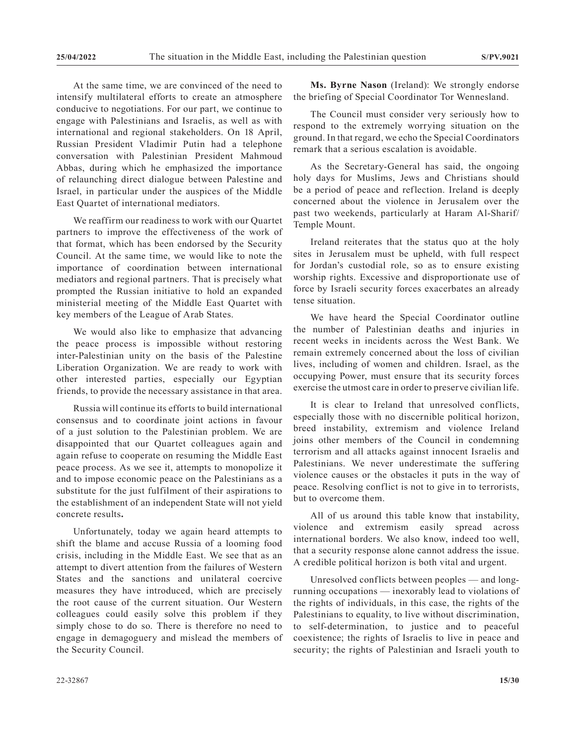At the same time, we are convinced of the need to intensify multilateral efforts to create an atmosphere conducive to negotiations. For our part, we continue to engage with Palestinians and Israelis, as well as with international and regional stakeholders. On 18 April, Russian President Vladimir Putin had a telephone conversation with Palestinian President Mahmoud Abbas, during which he emphasized the importance of relaunching direct dialogue between Palestine and Israel, in particular under the auspices of the Middle East Quartet of international mediators.

We reaffirm our readiness to work with our Quartet partners to improve the effectiveness of the work of that format, which has been endorsed by the Security Council. At the same time, we would like to note the importance of coordination between international mediators and regional partners. That is precisely what prompted the Russian initiative to hold an expanded ministerial meeting of the Middle East Quartet with key members of the League of Arab States.

We would also like to emphasize that advancing the peace process is impossible without restoring inter-Palestinian unity on the basis of the Palestine Liberation Organization. We are ready to work with other interested parties, especially our Egyptian friends, to provide the necessary assistance in that area.

Russia will continue its efforts to build international consensus and to coordinate joint actions in favour of a just solution to the Palestinian problem. We are disappointed that our Quartet colleagues again and again refuse to cooperate on resuming the Middle East peace process. As we see it, attempts to monopolize it and to impose economic peace on the Palestinians as a substitute for the just fulfilment of their aspirations to the establishment of an independent State will not yield concrete results**.**

Unfortunately, today we again heard attempts to shift the blame and accuse Russia of a looming food crisis, including in the Middle East. We see that as an attempt to divert attention from the failures of Western States and the sanctions and unilateral coercive measures they have introduced, which are precisely the root cause of the current situation. Our Western colleagues could easily solve this problem if they simply chose to do so. There is therefore no need to engage in demagoguery and mislead the members of the Security Council.

**Ms. Byrne Nason** (Ireland): We strongly endorse the briefing of Special Coordinator Tor Wennesland.

The Council must consider very seriously how to respond to the extremely worrying situation on the ground. In that regard, we echo the Special Coordinators remark that a serious escalation is avoidable.

As the Secretary-General has said, the ongoing holy days for Muslims, Jews and Christians should be a period of peace and reflection. Ireland is deeply concerned about the violence in Jerusalem over the past two weekends, particularly at Haram Al-Sharif/ Temple Mount.

Ireland reiterates that the status quo at the holy sites in Jerusalem must be upheld, with full respect for Jordan's custodial role, so as to ensure existing worship rights. Excessive and disproportionate use of force by Israeli security forces exacerbates an already tense situation.

We have heard the Special Coordinator outline the number of Palestinian deaths and injuries in recent weeks in incidents across the West Bank. We remain extremely concerned about the loss of civilian lives, including of women and children. Israel, as the occupying Power, must ensure that its security forces exercise the utmost care in order to preserve civilian life.

It is clear to Ireland that unresolved conflicts, especially those with no discernible political horizon, breed instability, extremism and violence Ireland joins other members of the Council in condemning terrorism and all attacks against innocent Israelis and Palestinians. We never underestimate the suffering violence causes or the obstacles it puts in the way of peace. Resolving conflict is not to give in to terrorists, but to overcome them.

All of us around this table know that instability, violence and extremism easily spread across international borders. We also know, indeed too well, that a security response alone cannot address the issue. A credible political horizon is both vital and urgent.

Unresolved conflicts between peoples — and longrunning occupations — inexorably lead to violations of the rights of individuals, in this case, the rights of the Palestinians to equality, to live without discrimination, to self-determination, to justice and to peaceful coexistence; the rights of Israelis to live in peace and security; the rights of Palestinian and Israeli youth to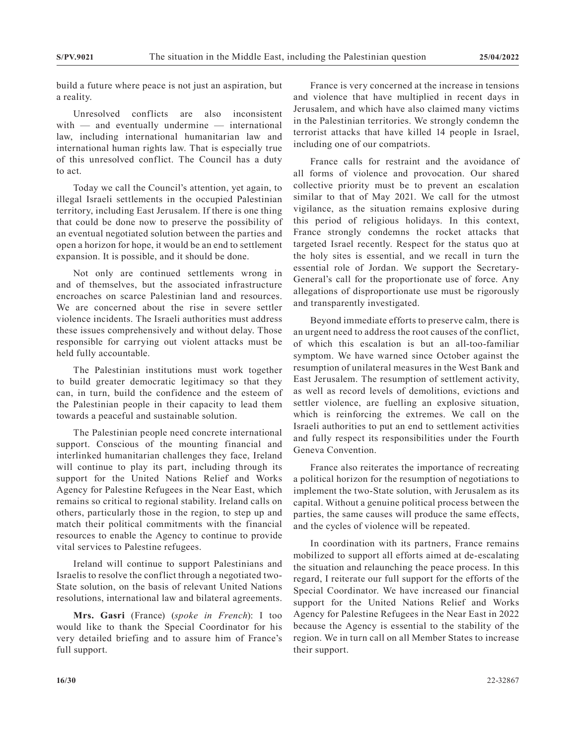build a future where peace is not just an aspiration, but a reality.

Unresolved conflicts are also inconsistent with — and eventually undermine — international law, including international humanitarian law and international human rights law. That is especially true of this unresolved conflict. The Council has a duty to act.

Today we call the Council's attention, yet again, to illegal Israeli settlements in the occupied Palestinian territory, including East Jerusalem. If there is one thing that could be done now to preserve the possibility of an eventual negotiated solution between the parties and open a horizon for hope, it would be an end to settlement expansion. It is possible, and it should be done.

Not only are continued settlements wrong in and of themselves, but the associated infrastructure encroaches on scarce Palestinian land and resources. We are concerned about the rise in severe settler violence incidents. The Israeli authorities must address these issues comprehensively and without delay. Those responsible for carrying out violent attacks must be held fully accountable.

The Palestinian institutions must work together to build greater democratic legitimacy so that they can, in turn, build the confidence and the esteem of the Palestinian people in their capacity to lead them towards a peaceful and sustainable solution.

The Palestinian people need concrete international support. Conscious of the mounting financial and interlinked humanitarian challenges they face, Ireland will continue to play its part, including through its support for the United Nations Relief and Works Agency for Palestine Refugees in the Near East, which remains so critical to regional stability. Ireland calls on others, particularly those in the region, to step up and match their political commitments with the financial resources to enable the Agency to continue to provide vital services to Palestine refugees.

Ireland will continue to support Palestinians and Israelis to resolve the conflict through a negotiated two-State solution, on the basis of relevant United Nations resolutions, international law and bilateral agreements.

**Mrs. Gasri** (France) (*spoke in French*): I too would like to thank the Special Coordinator for his very detailed briefing and to assure him of France's full support.

France is very concerned at the increase in tensions and violence that have multiplied in recent days in Jerusalem, and which have also claimed many victims in the Palestinian territories. We strongly condemn the terrorist attacks that have killed 14 people in Israel, including one of our compatriots.

France calls for restraint and the avoidance of all forms of violence and provocation. Our shared collective priority must be to prevent an escalation similar to that of May 2021. We call for the utmost vigilance, as the situation remains explosive during this period of religious holidays. In this context, France strongly condemns the rocket attacks that targeted Israel recently. Respect for the status quo at the holy sites is essential, and we recall in turn the essential role of Jordan. We support the Secretary-General's call for the proportionate use of force. Any allegations of disproportionate use must be rigorously and transparently investigated.

Beyond immediate efforts to preserve calm, there is an urgent need to address the root causes of the conflict, of which this escalation is but an all-too-familiar symptom. We have warned since October against the resumption of unilateral measures in the West Bank and East Jerusalem. The resumption of settlement activity, as well as record levels of demolitions, evictions and settler violence, are fuelling an explosive situation, which is reinforcing the extremes. We call on the Israeli authorities to put an end to settlement activities and fully respect its responsibilities under the Fourth Geneva Convention.

France also reiterates the importance of recreating a political horizon for the resumption of negotiations to implement the two-State solution, with Jerusalem as its capital. Without a genuine political process between the parties, the same causes will produce the same effects, and the cycles of violence will be repeated.

In coordination with its partners, France remains mobilized to support all efforts aimed at de-escalating the situation and relaunching the peace process. In this regard, I reiterate our full support for the efforts of the Special Coordinator. We have increased our financial support for the United Nations Relief and Works Agency for Palestine Refugees in the Near East in 2022 because the Agency is essential to the stability of the region. We in turn call on all Member States to increase their support.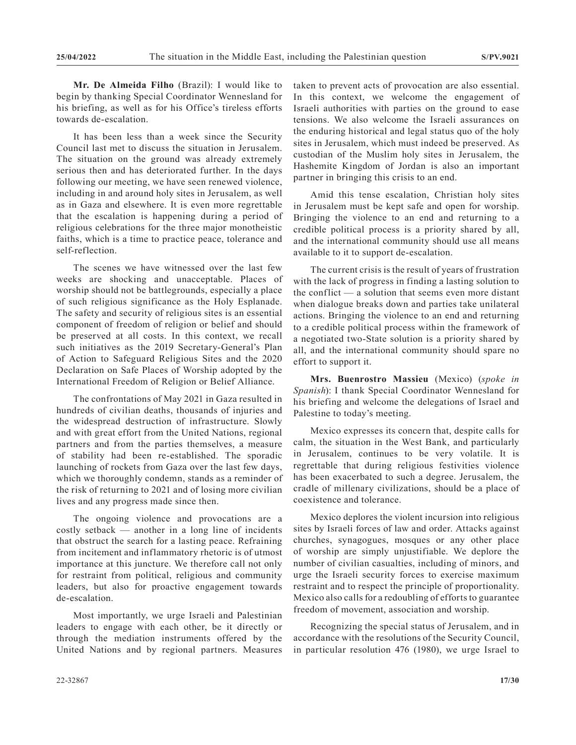**Mr. De Almeida Filho** (Brazil): I would like to begin by thanking Special Coordinator Wennesland for his briefing, as well as for his Office's tireless efforts towards de-escalation.

It has been less than a week since the Security Council last met to discuss the situation in Jerusalem. The situation on the ground was already extremely serious then and has deteriorated further. In the days following our meeting, we have seen renewed violence, including in and around holy sites in Jerusalem, as well as in Gaza and elsewhere. It is even more regrettable that the escalation is happening during a period of religious celebrations for the three major monotheistic faiths, which is a time to practice peace, tolerance and self-reflection.

The scenes we have witnessed over the last few weeks are shocking and unacceptable. Places of worship should not be battlegrounds, especially a place of such religious significance as the Holy Esplanade. The safety and security of religious sites is an essential component of freedom of religion or belief and should be preserved at all costs. In this context, we recall such initiatives as the 2019 Secretary-General's Plan of Action to Safeguard Religious Sites and the 2020 Declaration on Safe Places of Worship adopted by the International Freedom of Religion or Belief Alliance.

The confrontations of May 2021 in Gaza resulted in hundreds of civilian deaths, thousands of injuries and the widespread destruction of infrastructure. Slowly and with great effort from the United Nations, regional partners and from the parties themselves, a measure of stability had been re-established. The sporadic launching of rockets from Gaza over the last few days, which we thoroughly condemn, stands as a reminder of the risk of returning to 2021 and of losing more civilian lives and any progress made since then.

The ongoing violence and provocations are a costly setback — another in a long line of incidents that obstruct the search for a lasting peace. Refraining from incitement and inflammatory rhetoric is of utmost importance at this juncture. We therefore call not only for restraint from political, religious and community leaders, but also for proactive engagement towards de-escalation.

Most importantly, we urge Israeli and Palestinian leaders to engage with each other, be it directly or through the mediation instruments offered by the United Nations and by regional partners. Measures taken to prevent acts of provocation are also essential. In this context, we welcome the engagement of Israeli authorities with parties on the ground to ease tensions. We also welcome the Israeli assurances on the enduring historical and legal status quo of the holy sites in Jerusalem, which must indeed be preserved. As custodian of the Muslim holy sites in Jerusalem, the Hashemite Kingdom of Jordan is also an important partner in bringing this crisis to an end.

Amid this tense escalation, Christian holy sites in Jerusalem must be kept safe and open for worship. Bringing the violence to an end and returning to a credible political process is a priority shared by all, and the international community should use all means available to it to support de-escalation.

The current crisis is the result of years of frustration with the lack of progress in finding a lasting solution to the conflict — a solution that seems even more distant when dialogue breaks down and parties take unilateral actions. Bringing the violence to an end and returning to a credible political process within the framework of a negotiated two-State solution is a priority shared by all, and the international community should spare no effort to support it.

**Mrs. Buenrostro Massieu** (Mexico) (*spoke in Spanish*): I thank Special Coordinator Wennesland for his briefing and welcome the delegations of Israel and Palestine to today's meeting.

Mexico expresses its concern that, despite calls for calm, the situation in the West Bank, and particularly in Jerusalem, continues to be very volatile. It is regrettable that during religious festivities violence has been exacerbated to such a degree. Jerusalem, the cradle of millenary civilizations, should be a place of coexistence and tolerance.

Mexico deplores the violent incursion into religious sites by Israeli forces of law and order. Attacks against churches, synagogues, mosques or any other place of worship are simply unjustifiable. We deplore the number of civilian casualties, including of minors, and urge the Israeli security forces to exercise maximum restraint and to respect the principle of proportionality. Mexico also calls for a redoubling of efforts to guarantee freedom of movement, association and worship.

Recognizing the special status of Jerusalem, and in accordance with the resolutions of the Security Council, in particular resolution 476 (1980), we urge Israel to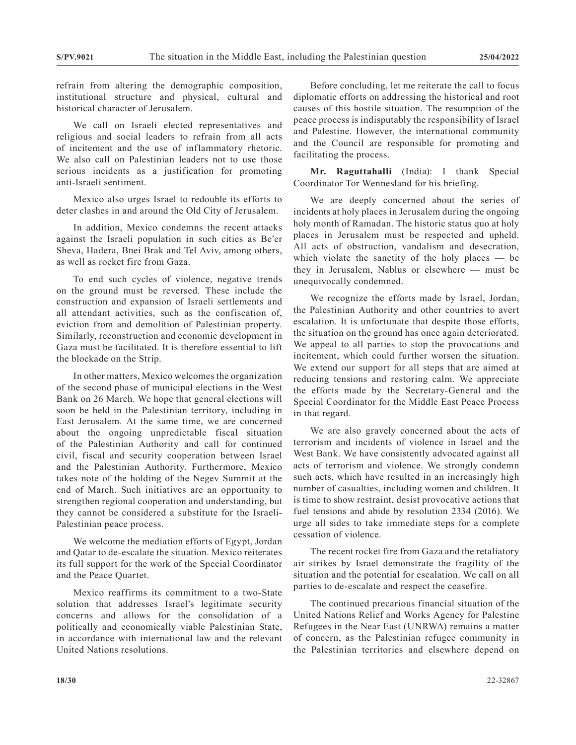refrain from altering the demographic composition, institutional structure and physical, cultural and historical character of Jerusalem.

We call on Israeli elected representatives and religious and social leaders to refrain from all acts of incitement and the use of inflammatory rhetoric. We also call on Palestinian leaders not to use those serious incidents as a justification for promoting anti-Israeli sentiment.

Mexico also urges Israel to redouble its efforts to deter clashes in and around the Old City of Jerusalem.

In addition, Mexico condemns the recent attacks against the Israeli population in such cities as Be'er Sheva, Hadera, Bnei Brak and Tel Aviv, among others, as well as rocket fire from Gaza.

To end such cycles of violence, negative trends on the ground must be reversed. These include the construction and expansion of Israeli settlements and all attendant activities, such as the confiscation of, eviction from and demolition of Palestinian property. Similarly, reconstruction and economic development in Gaza must be facilitated. It is therefore essential to lift the blockade on the Strip.

In other matters, Mexico welcomes the organization of the second phase of municipal elections in the West Bank on 26 March. We hope that general elections will soon be held in the Palestinian territory, including in East Jerusalem. At the same time, we are concerned about the ongoing unpredictable fiscal situation of the Palestinian Authority and call for continued civil, fiscal and security cooperation between Israel and the Palestinian Authority. Furthermore, Mexico takes note of the holding of the Negev Summit at the end of March. Such initiatives are an opportunity to strengthen regional cooperation and understanding, but they cannot be considered a substitute for the Israeli-Palestinian peace process.

We welcome the mediation efforts of Egypt, Jordan and Qatar to de-escalate the situation. Mexico reiterates its full support for the work of the Special Coordinator and the Peace Quartet.

Mexico reaffirms its commitment to a two-State solution that addresses Israel's legitimate security concerns and allows for the consolidation of a politically and economically viable Palestinian State, in accordance with international law and the relevant United Nations resolutions.

Before concluding, let me reiterate the call to focus diplomatic efforts on addressing the historical and root causes of this hostile situation. The resumption of the peace process is indisputably the responsibility of Israel and Palestine. However, the international community and the Council are responsible for promoting and facilitating the process.

**Mr. Raguttahalli** (India): I thank Special Coordinator Tor Wennesland for his briefing.

We are deeply concerned about the series of incidents at holy places in Jerusalem during the ongoing holy month of Ramadan. The historic status quo at holy places in Jerusalem must be respected and upheld. All acts of obstruction, vandalism and desecration, which violate the sanctity of the holy places  $-$  be they in Jerusalem, Nablus or elsewhere — must be unequivocally condemned.

We recognize the efforts made by Israel, Jordan, the Palestinian Authority and other countries to avert escalation. It is unfortunate that despite those efforts, the situation on the ground has once again deteriorated. We appeal to all parties to stop the provocations and incitement, which could further worsen the situation. We extend our support for all steps that are aimed at reducing tensions and restoring calm. We appreciate the efforts made by the Secretary-General and the Special Coordinator for the Middle East Peace Process in that regard.

We are also gravely concerned about the acts of terrorism and incidents of violence in Israel and the West Bank. We have consistently advocated against all acts of terrorism and violence. We strongly condemn such acts, which have resulted in an increasingly high number of casualties, including women and children. It is time to show restraint, desist provocative actions that fuel tensions and abide by resolution 2334 (2016). We urge all sides to take immediate steps for a complete cessation of violence.

The recent rocket fire from Gaza and the retaliatory air strikes by Israel demonstrate the fragility of the situation and the potential for escalation. We call on all parties to de-escalate and respect the ceasefire.

The continued precarious financial situation of the United Nations Relief and Works Agency for Palestine Refugees in the Near East (UNRWA) remains a matter of concern, as the Palestinian refugee community in the Palestinian territories and elsewhere depend on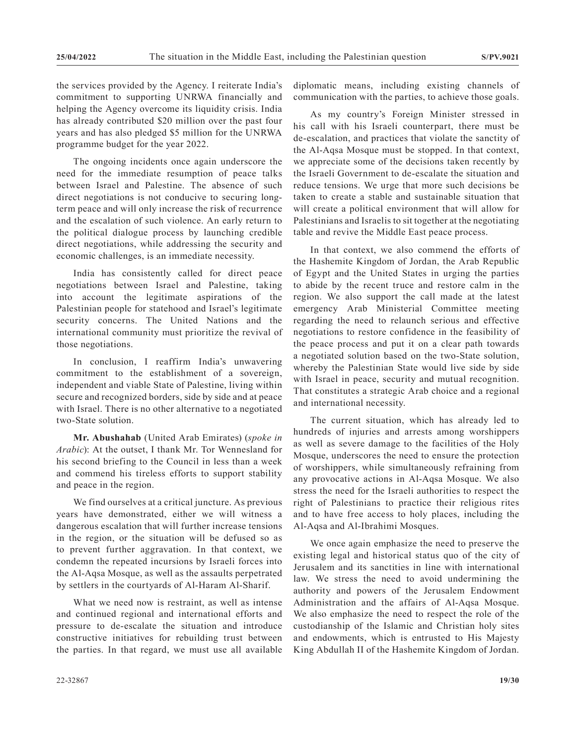the services provided by the Agency. I reiterate India's commitment to supporting UNRWA financially and helping the Agency overcome its liquidity crisis. India has already contributed \$20 million over the past four years and has also pledged \$5 million for the UNRWA programme budget for the year 2022.

The ongoing incidents once again underscore the need for the immediate resumption of peace talks between Israel and Palestine. The absence of such direct negotiations is not conducive to securing longterm peace and will only increase the risk of recurrence and the escalation of such violence. An early return to the political dialogue process by launching credible direct negotiations, while addressing the security and economic challenges, is an immediate necessity.

India has consistently called for direct peace negotiations between Israel and Palestine, taking into account the legitimate aspirations of the Palestinian people for statehood and Israel's legitimate security concerns. The United Nations and the international community must prioritize the revival of those negotiations.

In conclusion, I reaffirm India's unwavering commitment to the establishment of a sovereign, independent and viable State of Palestine, living within secure and recognized borders, side by side and at peace with Israel. There is no other alternative to a negotiated two-State solution.

**Mr. Abushahab** (United Arab Emirates) (*spoke in Arabic*): At the outset, I thank Mr. Tor Wennesland for his second briefing to the Council in less than a week and commend his tireless efforts to support stability and peace in the region.

We find ourselves at a critical juncture. As previous years have demonstrated, either we will witness a dangerous escalation that will further increase tensions in the region, or the situation will be defused so as to prevent further aggravation. In that context, we condemn the repeated incursions by Israeli forces into the Al-Aqsa Mosque, as well as the assaults perpetrated by settlers in the courtyards of Al-Haram Al-Sharif.

What we need now is restraint, as well as intense and continued regional and international efforts and pressure to de-escalate the situation and introduce constructive initiatives for rebuilding trust between the parties. In that regard, we must use all available

diplomatic means, including existing channels of communication with the parties, to achieve those goals.

As my country's Foreign Minister stressed in his call with his Israeli counterpart, there must be de-escalation, and practices that violate the sanctity of the Al-Aqsa Mosque must be stopped. In that context, we appreciate some of the decisions taken recently by the Israeli Government to de-escalate the situation and reduce tensions. We urge that more such decisions be taken to create a stable and sustainable situation that will create a political environment that will allow for Palestinians and Israelis to sit together at the negotiating table and revive the Middle East peace process.

In that context, we also commend the efforts of the Hashemite Kingdom of Jordan, the Arab Republic of Egypt and the United States in urging the parties to abide by the recent truce and restore calm in the region. We also support the call made at the latest emergency Arab Ministerial Committee meeting regarding the need to relaunch serious and effective negotiations to restore confidence in the feasibility of the peace process and put it on a clear path towards a negotiated solution based on the two-State solution, whereby the Palestinian State would live side by side with Israel in peace, security and mutual recognition. That constitutes a strategic Arab choice and a regional and international necessity.

The current situation, which has already led to hundreds of injuries and arrests among worshippers as well as severe damage to the facilities of the Holy Mosque, underscores the need to ensure the protection of worshippers, while simultaneously refraining from any provocative actions in Al-Aqsa Mosque. We also stress the need for the Israeli authorities to respect the right of Palestinians to practice their religious rites and to have free access to holy places, including the Al-Aqsa and Al-Ibrahimi Mosques.

We once again emphasize the need to preserve the existing legal and historical status quo of the city of Jerusalem and its sanctities in line with international law. We stress the need to avoid undermining the authority and powers of the Jerusalem Endowment Administration and the affairs of Al-Aqsa Mosque. We also emphasize the need to respect the role of the custodianship of the Islamic and Christian holy sites and endowments, which is entrusted to His Majesty King Abdullah II of the Hashemite Kingdom of Jordan.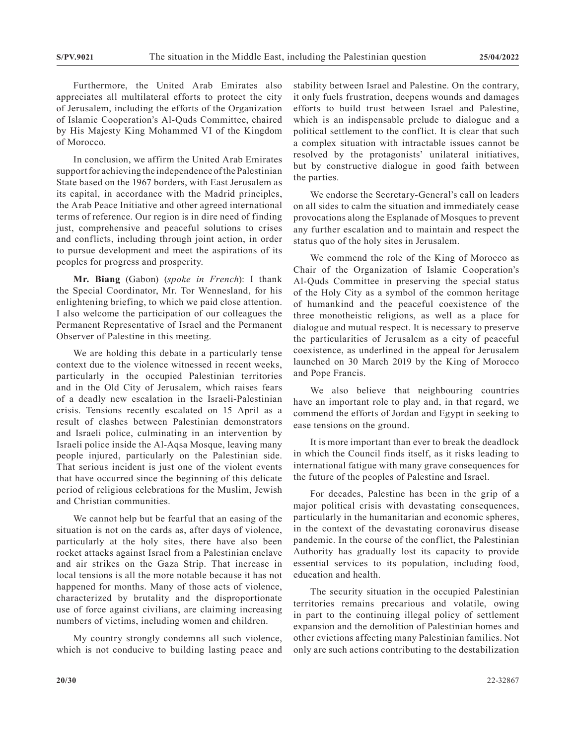Furthermore, the United Arab Emirates also appreciates all multilateral efforts to protect the city of Jerusalem, including the efforts of the Organization of Islamic Cooperation's Al-Quds Committee, chaired by His Majesty King Mohammed VI of the Kingdom of Morocco.

In conclusion, we affirm the United Arab Emirates support for achieving the independence of the Palestinian State based on the 1967 borders, with East Jerusalem as its capital, in accordance with the Madrid principles, the Arab Peace Initiative and other agreed international terms of reference. Our region is in dire need of finding just, comprehensive and peaceful solutions to crises and conflicts, including through joint action, in order to pursue development and meet the aspirations of its peoples for progress and prosperity.

**Mr. Biang** (Gabon) (*spoke in French*): I thank the Special Coordinator, Mr. Tor Wennesland, for his enlightening briefing, to which we paid close attention. I also welcome the participation of our colleagues the Permanent Representative of Israel and the Permanent Observer of Palestine in this meeting.

We are holding this debate in a particularly tense context due to the violence witnessed in recent weeks, particularly in the occupied Palestinian territories and in the Old City of Jerusalem, which raises fears of a deadly new escalation in the Israeli-Palestinian crisis. Tensions recently escalated on 15 April as a result of clashes between Palestinian demonstrators and Israeli police, culminating in an intervention by Israeli police inside the Al-Aqsa Mosque, leaving many people injured, particularly on the Palestinian side. That serious incident is just one of the violent events that have occurred since the beginning of this delicate period of religious celebrations for the Muslim, Jewish and Christian communities.

We cannot help but be fearful that an easing of the situation is not on the cards as, after days of violence, particularly at the holy sites, there have also been rocket attacks against Israel from a Palestinian enclave and air strikes on the Gaza Strip. That increase in local tensions is all the more notable because it has not happened for months. Many of those acts of violence, characterized by brutality and the disproportionate use of force against civilians, are claiming increasing numbers of victims, including women and children.

My country strongly condemns all such violence, which is not conducive to building lasting peace and stability between Israel and Palestine. On the contrary, it only fuels frustration, deepens wounds and damages efforts to build trust between Israel and Palestine, which is an indispensable prelude to dialogue and a political settlement to the conflict. It is clear that such a complex situation with intractable issues cannot be resolved by the protagonists' unilateral initiatives, but by constructive dialogue in good faith between the parties.

We endorse the Secretary-General's call on leaders on all sides to calm the situation and immediately cease provocations along the Esplanade of Mosques to prevent any further escalation and to maintain and respect the status quo of the holy sites in Jerusalem.

We commend the role of the King of Morocco as Chair of the Organization of Islamic Cooperation's Al-Quds Committee in preserving the special status of the Holy City as a symbol of the common heritage of humankind and the peaceful coexistence of the three monotheistic religions, as well as a place for dialogue and mutual respect. It is necessary to preserve the particularities of Jerusalem as a city of peaceful coexistence, as underlined in the appeal for Jerusalem launched on 30 March 2019 by the King of Morocco and Pope Francis.

We also believe that neighbouring countries have an important role to play and, in that regard, we commend the efforts of Jordan and Egypt in seeking to ease tensions on the ground.

It is more important than ever to break the deadlock in which the Council finds itself, as it risks leading to international fatigue with many grave consequences for the future of the peoples of Palestine and Israel.

For decades, Palestine has been in the grip of a major political crisis with devastating consequences, particularly in the humanitarian and economic spheres, in the context of the devastating coronavirus disease pandemic. In the course of the conflict, the Palestinian Authority has gradually lost its capacity to provide essential services to its population, including food, education and health.

The security situation in the occupied Palestinian territories remains precarious and volatile, owing in part to the continuing illegal policy of settlement expansion and the demolition of Palestinian homes and other evictions affecting many Palestinian families. Not only are such actions contributing to the destabilization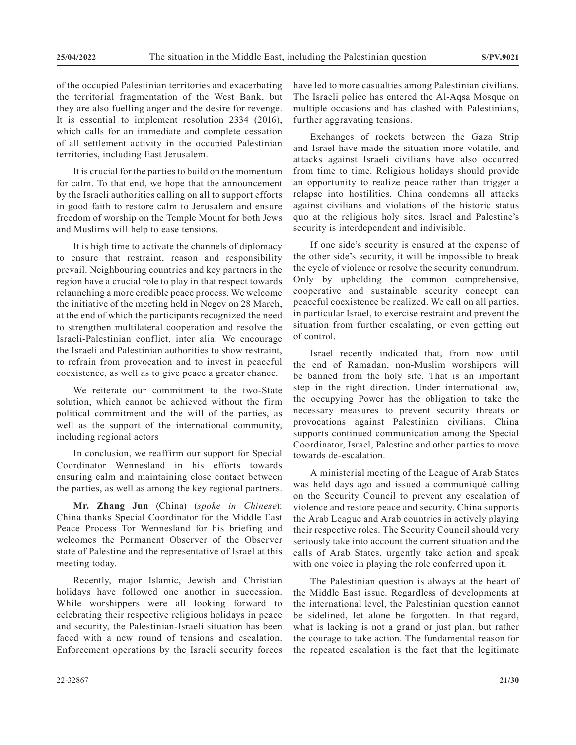of the occupied Palestinian territories and exacerbating the territorial fragmentation of the West Bank, but they are also fuelling anger and the desire for revenge. It is essential to implement resolution 2334 (2016), which calls for an immediate and complete cessation of all settlement activity in the occupied Palestinian territories, including East Jerusalem.

It is crucial for the parties to build on the momentum for calm. To that end, we hope that the announcement by the Israeli authorities calling on all to support efforts in good faith to restore calm to Jerusalem and ensure freedom of worship on the Temple Mount for both Jews and Muslims will help to ease tensions.

It is high time to activate the channels of diplomacy to ensure that restraint, reason and responsibility prevail. Neighbouring countries and key partners in the region have a crucial role to play in that respect towards relaunching a more credible peace process. We welcome the initiative of the meeting held in Negev on 28 March, at the end of which the participants recognized the need to strengthen multilateral cooperation and resolve the Israeli-Palestinian conflict, inter alia. We encourage the Israeli and Palestinian authorities to show restraint, to refrain from provocation and to invest in peaceful coexistence, as well as to give peace a greater chance.

We reiterate our commitment to the two-State solution, which cannot be achieved without the firm political commitment and the will of the parties, as well as the support of the international community, including regional actors

In conclusion, we reaffirm our support for Special Coordinator Wennesland in his efforts towards ensuring calm and maintaining close contact between the parties, as well as among the key regional partners.

**Mr. Zhang Jun** (China) (*spoke in Chinese*): China thanks Special Coordinator for the Middle East Peace Process Tor Wennesland for his briefing and welcomes the Permanent Observer of the Observer state of Palestine and the representative of Israel at this meeting today.

Recently, major Islamic, Jewish and Christian holidays have followed one another in succession. While worshippers were all looking forward to celebrating their respective religious holidays in peace and security, the Palestinian-Israeli situation has been faced with a new round of tensions and escalation. Enforcement operations by the Israeli security forces

security is interdependent and indivisible. If one side's security is ensured at the expense of

the other side's security, it will be impossible to break the cycle of violence or resolve the security conundrum. Only by upholding the common comprehensive, cooperative and sustainable security concept can peaceful coexistence be realized. We call on all parties, in particular Israel, to exercise restraint and prevent the situation from further escalating, or even getting out of control.

have led to more casualties among Palestinian civilians. The Israeli police has entered the Al-Aqsa Mosque on multiple occasions and has clashed with Palestinians,

Exchanges of rockets between the Gaza Strip and Israel have made the situation more volatile, and attacks against Israeli civilians have also occurred from time to time. Religious holidays should provide an opportunity to realize peace rather than trigger a relapse into hostilities. China condemns all attacks against civilians and violations of the historic status quo at the religious holy sites. Israel and Palestine's

further aggravating tensions.

Israel recently indicated that, from now until the end of Ramadan, non-Muslim worshipers will be banned from the holy site. That is an important step in the right direction. Under international law, the occupying Power has the obligation to take the necessary measures to prevent security threats or provocations against Palestinian civilians. China supports continued communication among the Special Coordinator, Israel, Palestine and other parties to move towards de-escalation.

A ministerial meeting of the League of Arab States was held days ago and issued a communiqué calling on the Security Council to prevent any escalation of violence and restore peace and security. China supports the Arab League and Arab countries in actively playing their respective roles. The Security Council should very seriously take into account the current situation and the calls of Arab States, urgently take action and speak with one voice in playing the role conferred upon it.

The Palestinian question is always at the heart of the Middle East issue. Regardless of developments at the international level, the Palestinian question cannot be sidelined, let alone be forgotten. In that regard, what is lacking is not a grand or just plan, but rather the courage to take action. The fundamental reason for the repeated escalation is the fact that the legitimate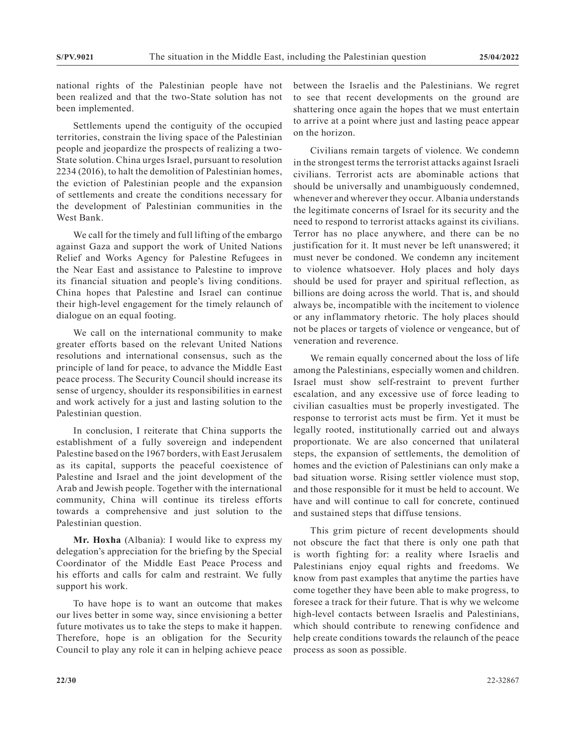national rights of the Palestinian people have not been realized and that the two-State solution has not been implemented.

Settlements upend the contiguity of the occupied territories, constrain the living space of the Palestinian people and jeopardize the prospects of realizing a two-State solution. China urges Israel, pursuant to resolution 2234 (2016), to halt the demolition of Palestinian homes, the eviction of Palestinian people and the expansion of settlements and create the conditions necessary for the development of Palestinian communities in the West Bank.

We call for the timely and full lifting of the embargo against Gaza and support the work of United Nations Relief and Works Agency for Palestine Refugees in the Near East and assistance to Palestine to improve its financial situation and people's living conditions. China hopes that Palestine and Israel can continue their high-level engagement for the timely relaunch of dialogue on an equal footing.

We call on the international community to make greater efforts based on the relevant United Nations resolutions and international consensus, such as the principle of land for peace, to advance the Middle East peace process. The Security Council should increase its sense of urgency, shoulder its responsibilities in earnest and work actively for a just and lasting solution to the Palestinian question.

In conclusion, I reiterate that China supports the establishment of a fully sovereign and independent Palestine based on the 1967 borders, with East Jerusalem as its capital, supports the peaceful coexistence of Palestine and Israel and the joint development of the Arab and Jewish people. Together with the international community, China will continue its tireless efforts towards a comprehensive and just solution to the Palestinian question.

**Mr. Hoxha** (Albania): I would like to express my delegation's appreciation for the briefing by the Special Coordinator of the Middle East Peace Process and his efforts and calls for calm and restraint. We fully support his work.

To have hope is to want an outcome that makes our lives better in some way, since envisioning a better future motivates us to take the steps to make it happen. Therefore, hope is an obligation for the Security Council to play any role it can in helping achieve peace between the Israelis and the Palestinians. We regret to see that recent developments on the ground are shattering once again the hopes that we must entertain to arrive at a point where just and lasting peace appear on the horizon.

Civilians remain targets of violence. We condemn in the strongest terms the terrorist attacks against Israeli civilians. Terrorist acts are abominable actions that should be universally and unambiguously condemned, whenever and wherever they occur. Albania understands the legitimate concerns of Israel for its security and the need to respond to terrorist attacks against its civilians. Terror has no place anywhere, and there can be no justification for it. It must never be left unanswered; it must never be condoned. We condemn any incitement to violence whatsoever. Holy places and holy days should be used for prayer and spiritual reflection, as billions are doing across the world. That is, and should always be, incompatible with the incitement to violence or any inflammatory rhetoric. The holy places should not be places or targets of violence or vengeance, but of veneration and reverence.

We remain equally concerned about the loss of life among the Palestinians, especially women and children. Israel must show self-restraint to prevent further escalation, and any excessive use of force leading to civilian casualties must be properly investigated. The response to terrorist acts must be firm. Yet it must be legally rooted, institutionally carried out and always proportionate. We are also concerned that unilateral steps, the expansion of settlements, the demolition of homes and the eviction of Palestinians can only make a bad situation worse. Rising settler violence must stop, and those responsible for it must be held to account. We have and will continue to call for concrete, continued and sustained steps that diffuse tensions.

This grim picture of recent developments should not obscure the fact that there is only one path that is worth fighting for: a reality where Israelis and Palestinians enjoy equal rights and freedoms. We know from past examples that anytime the parties have come together they have been able to make progress, to foresee a track for their future. That is why we welcome high-level contacts between Israelis and Palestinians, which should contribute to renewing confidence and help create conditions towards the relaunch of the peace process as soon as possible.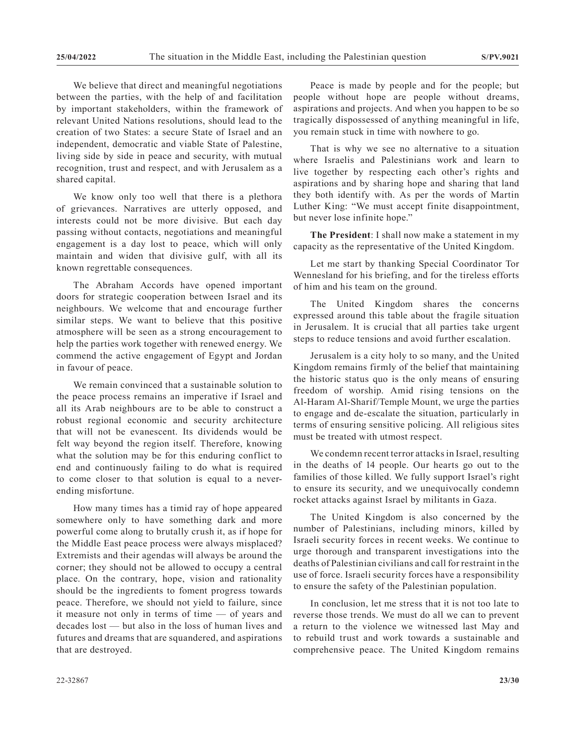We believe that direct and meaningful negotiations between the parties, with the help of and facilitation by important stakeholders, within the framework of relevant United Nations resolutions, should lead to the creation of two States: a secure State of Israel and an independent, democratic and viable State of Palestine, living side by side in peace and security, with mutual recognition, trust and respect, and with Jerusalem as a shared capital.

We know only too well that there is a plethora of grievances. Narratives are utterly opposed, and interests could not be more divisive. But each day passing without contacts, negotiations and meaningful engagement is a day lost to peace, which will only maintain and widen that divisive gulf, with all its known regrettable consequences.

The Abraham Accords have opened important doors for strategic cooperation between Israel and its neighbours. We welcome that and encourage further similar steps. We want to believe that this positive atmosphere will be seen as a strong encouragement to help the parties work together with renewed energy. We commend the active engagement of Egypt and Jordan in favour of peace.

We remain convinced that a sustainable solution to the peace process remains an imperative if Israel and all its Arab neighbours are to be able to construct a robust regional economic and security architecture that will not be evanescent. Its dividends would be felt way beyond the region itself. Therefore, knowing what the solution may be for this enduring conflict to end and continuously failing to do what is required to come closer to that solution is equal to a neverending misfortune.

How many times has a timid ray of hope appeared somewhere only to have something dark and more powerful come along to brutally crush it, as if hope for the Middle East peace process were always misplaced? Extremists and their agendas will always be around the corner; they should not be allowed to occupy a central place. On the contrary, hope, vision and rationality should be the ingredients to foment progress towards peace. Therefore, we should not yield to failure, since it measure not only in terms of time — of years and decades lost — but also in the loss of human lives and futures and dreams that are squandered, and aspirations that are destroyed.

Peace is made by people and for the people; but people without hope are people without dreams, aspirations and projects. And when you happen to be so tragically dispossessed of anything meaningful in life, you remain stuck in time with nowhere to go.

That is why we see no alternative to a situation where Israelis and Palestinians work and learn to live together by respecting each other's rights and aspirations and by sharing hope and sharing that land they both identify with. As per the words of Martin Luther King: "We must accept finite disappointment, but never lose infinite hope."

**The President**: I shall now make a statement in my capacity as the representative of the United Kingdom.

Let me start by thanking Special Coordinator Tor Wennesland for his briefing, and for the tireless efforts of him and his team on the ground.

The United Kingdom shares the concerns expressed around this table about the fragile situation in Jerusalem. It is crucial that all parties take urgent steps to reduce tensions and avoid further escalation.

Jerusalem is a city holy to so many, and the United Kingdom remains firmly of the belief that maintaining the historic status quo is the only means of ensuring freedom of worship. Amid rising tensions on the Al-Haram Al-Sharif/Temple Mount, we urge the parties to engage and de-escalate the situation, particularly in terms of ensuring sensitive policing. All religious sites must be treated with utmost respect.

We condemn recent terror attacks in Israel, resulting in the deaths of 14 people. Our hearts go out to the families of those killed. We fully support Israel's right to ensure its security, and we unequivocally condemn rocket attacks against Israel by militants in Gaza.

The United Kingdom is also concerned by the number of Palestinians, including minors, killed by Israeli security forces in recent weeks. We continue to urge thorough and transparent investigations into the deaths of Palestinian civilians and call for restraint in the use of force. Israeli security forces have a responsibility to ensure the safety of the Palestinian population.

In conclusion, let me stress that it is not too late to reverse those trends. We must do all we can to prevent a return to the violence we witnessed last May and to rebuild trust and work towards a sustainable and comprehensive peace. The United Kingdom remains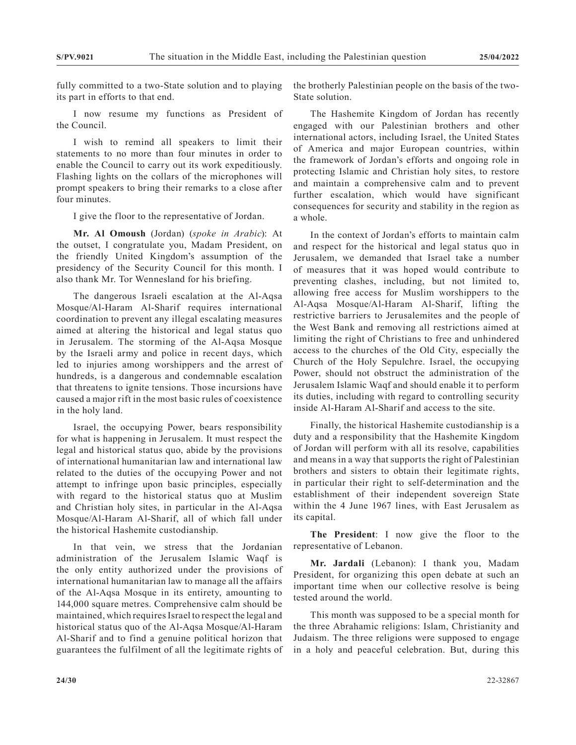fully committed to a two-State solution and to playing its part in efforts to that end.

I now resume my functions as President of the Council.

I wish to remind all speakers to limit their statements to no more than four minutes in order to enable the Council to carry out its work expeditiously. Flashing lights on the collars of the microphones will prompt speakers to bring their remarks to a close after four minutes.

I give the floor to the representative of Jordan.

**Mr. Al Omoush** (Jordan) (*spoke in Arabic*): At the outset, I congratulate you, Madam President, on the friendly United Kingdom's assumption of the presidency of the Security Council for this month. I also thank Mr. Tor Wennesland for his briefing.

The dangerous Israeli escalation at the Al-Aqsa Mosque/Al-Haram Al-Sharif requires international coordination to prevent any illegal escalating measures aimed at altering the historical and legal status quo in Jerusalem. The storming of the Al-Aqsa Mosque by the Israeli army and police in recent days, which led to injuries among worshippers and the arrest of hundreds, is a dangerous and condemnable escalation that threatens to ignite tensions. Those incursions have caused a major rift in the most basic rules of coexistence in the holy land.

Israel, the occupying Power, bears responsibility for what is happening in Jerusalem. It must respect the legal and historical status quo, abide by the provisions of international humanitarian law and international law related to the duties of the occupying Power and not attempt to infringe upon basic principles, especially with regard to the historical status quo at Muslim and Christian holy sites, in particular in the Al-Aqsa Mosque/Al-Haram Al-Sharif, all of which fall under the historical Hashemite custodianship.

In that vein, we stress that the Jordanian administration of the Jerusalem Islamic Waqf is the only entity authorized under the provisions of international humanitarian law to manage all the affairs of the Al-Aqsa Mosque in its entirety, amounting to 144,000 square metres. Comprehensive calm should be maintained, which requires Israel to respect the legal and historical status quo of the Al-Aqsa Mosque/Al-Haram Al-Sharif and to find a genuine political horizon that guarantees the fulfilment of all the legitimate rights of

the brotherly Palestinian people on the basis of the two-State solution.

The Hashemite Kingdom of Jordan has recently engaged with our Palestinian brothers and other international actors, including Israel, the United States of America and major European countries, within the framework of Jordan's efforts and ongoing role in protecting Islamic and Christian holy sites, to restore and maintain a comprehensive calm and to prevent further escalation, which would have significant consequences for security and stability in the region as a whole.

In the context of Jordan's efforts to maintain calm and respect for the historical and legal status quo in Jerusalem, we demanded that Israel take a number of measures that it was hoped would contribute to preventing clashes, including, but not limited to, allowing free access for Muslim worshippers to the Al-Aqsa Mosque/Al-Haram Al-Sharif, lifting the restrictive barriers to Jerusalemites and the people of the West Bank and removing all restrictions aimed at limiting the right of Christians to free and unhindered access to the churches of the Old City, especially the Church of the Holy Sepulchre. Israel, the occupying Power, should not obstruct the administration of the Jerusalem Islamic Waqf and should enable it to perform its duties, including with regard to controlling security inside Al-Haram Al-Sharif and access to the site.

Finally, the historical Hashemite custodianship is a duty and a responsibility that the Hashemite Kingdom of Jordan will perform with all its resolve, capabilities and means in a way that supports the right of Palestinian brothers and sisters to obtain their legitimate rights, in particular their right to self-determination and the establishment of their independent sovereign State within the 4 June 1967 lines, with East Jerusalem as its capital.

**The President**: I now give the floor to the representative of Lebanon.

**Mr. Jardali** (Lebanon): I thank you, Madam President, for organizing this open debate at such an important time when our collective resolve is being tested around the world.

This month was supposed to be a special month for the three Abrahamic religions: Islam, Christianity and Judaism. The three religions were supposed to engage in a holy and peaceful celebration. But, during this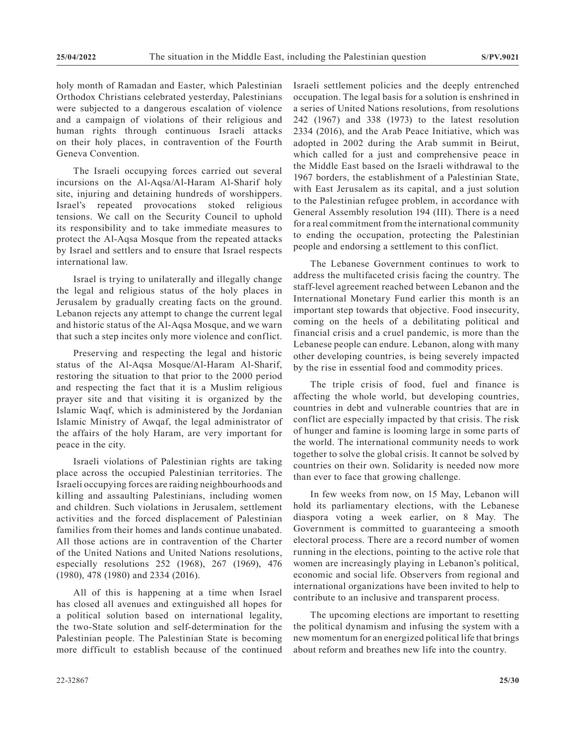holy month of Ramadan and Easter, which Palestinian Orthodox Christians celebrated yesterday, Palestinians were subjected to a dangerous escalation of violence and a campaign of violations of their religious and human rights through continuous Israeli attacks on their holy places, in contravention of the Fourth Geneva Convention.

The Israeli occupying forces carried out several incursions on the Al-Aqsa/Al-Haram Al-Sharif holy site, injuring and detaining hundreds of worshippers. Israel's repeated provocations stoked religious tensions. We call on the Security Council to uphold its responsibility and to take immediate measures to protect the Al-Aqsa Mosque from the repeated attacks by Israel and settlers and to ensure that Israel respects international law.

Israel is trying to unilaterally and illegally change the legal and religious status of the holy places in Jerusalem by gradually creating facts on the ground. Lebanon rejects any attempt to change the current legal and historic status of the Al-Aqsa Mosque, and we warn that such a step incites only more violence and conflict.

Preserving and respecting the legal and historic status of the Al-Aqsa Mosque/Al-Haram Al-Sharif, restoring the situation to that prior to the 2000 period and respecting the fact that it is a Muslim religious prayer site and that visiting it is organized by the Islamic Waqf, which is administered by the Jordanian Islamic Ministry of Awqaf, the legal administrator of the affairs of the holy Haram, are very important for peace in the city.

Israeli violations of Palestinian rights are taking place across the occupied Palestinian territories. The Israeli occupying forces are raiding neighbourhoods and killing and assaulting Palestinians, including women and children. Such violations in Jerusalem, settlement activities and the forced displacement of Palestinian families from their homes and lands continue unabated. All those actions are in contravention of the Charter of the United Nations and United Nations resolutions, especially resolutions 252 (1968), 267 (1969), 476 (1980), 478 (1980) and 2334 (2016).

All of this is happening at a time when Israel has closed all avenues and extinguished all hopes for a political solution based on international legality, the two-State solution and self-determination for the Palestinian people. The Palestinian State is becoming more difficult to establish because of the continued Israeli settlement policies and the deeply entrenched occupation. The legal basis for a solution is enshrined in a series of United Nations resolutions, from resolutions 242 (1967) and 338 (1973) to the latest resolution 2334 (2016), and the Arab Peace Initiative, which was adopted in 2002 during the Arab summit in Beirut, which called for a just and comprehensive peace in the Middle East based on the Israeli withdrawal to the 1967 borders, the establishment of a Palestinian State, with East Jerusalem as its capital, and a just solution to the Palestinian refugee problem, in accordance with General Assembly resolution 194 (III). There is a need for a real commitment from the international community to ending the occupation, protecting the Palestinian people and endorsing a settlement to this conflict.

The Lebanese Government continues to work to address the multifaceted crisis facing the country. The staff-level agreement reached between Lebanon and the International Monetary Fund earlier this month is an important step towards that objective. Food insecurity, coming on the heels of a debilitating political and financial crisis and a cruel pandemic, is more than the Lebanese people can endure. Lebanon, along with many other developing countries, is being severely impacted by the rise in essential food and commodity prices.

The triple crisis of food, fuel and finance is affecting the whole world, but developing countries, countries in debt and vulnerable countries that are in conflict are especially impacted by that crisis. The risk of hunger and famine is looming large in some parts of the world. The international community needs to work together to solve the global crisis. It cannot be solved by countries on their own. Solidarity is needed now more than ever to face that growing challenge.

In few weeks from now, on 15 May, Lebanon will hold its parliamentary elections, with the Lebanese diaspora voting a week earlier, on 8 May. The Government is committed to guaranteeing a smooth electoral process. There are a record number of women running in the elections, pointing to the active role that women are increasingly playing in Lebanon's political, economic and social life. Observers from regional and international organizations have been invited to help to contribute to an inclusive and transparent process.

The upcoming elections are important to resetting the political dynamism and infusing the system with a new momentum for an energized political life that brings about reform and breathes new life into the country.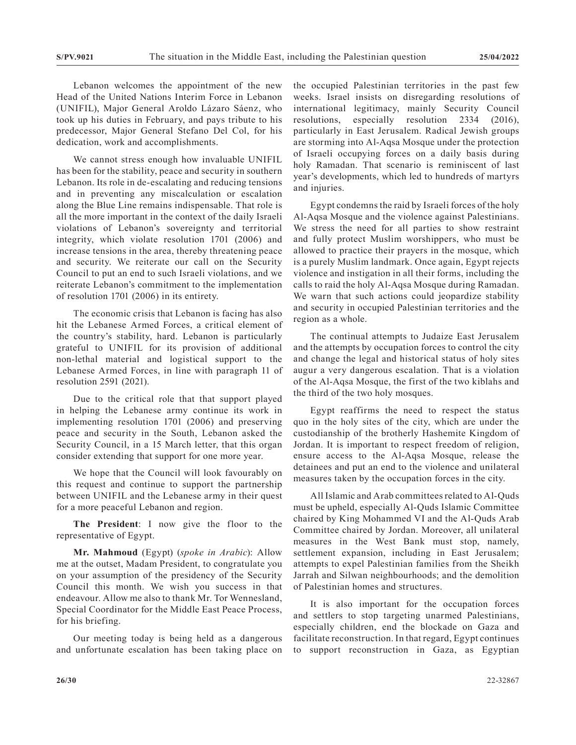Lebanon welcomes the appointment of the new Head of the United Nations Interim Force in Lebanon (UNIFIL), Major General Aroldo Lázaro Sáenz, who took up his duties in February, and pays tribute to his predecessor, Major General Stefano Del Col, for his dedication, work and accomplishments.

We cannot stress enough how invaluable UNIFIL has been for the stability, peace and security in southern Lebanon. Its role in de-escalating and reducing tensions and in preventing any miscalculation or escalation along the Blue Line remains indispensable. That role is all the more important in the context of the daily Israeli violations of Lebanon's sovereignty and territorial integrity, which violate resolution 1701 (2006) and increase tensions in the area, thereby threatening peace and security. We reiterate our call on the Security Council to put an end to such Israeli violations, and we reiterate Lebanon's commitment to the implementation of resolution 1701 (2006) in its entirety.

The economic crisis that Lebanon is facing has also hit the Lebanese Armed Forces, a critical element of the country's stability, hard. Lebanon is particularly grateful to UNIFIL for its provision of additional non-lethal material and logistical support to the Lebanese Armed Forces, in line with paragraph 11 of resolution 2591 (2021).

Due to the critical role that that support played in helping the Lebanese army continue its work in implementing resolution 1701 (2006) and preserving peace and security in the South, Lebanon asked the Security Council, in a 15 March letter, that this organ consider extending that support for one more year.

We hope that the Council will look favourably on this request and continue to support the partnership between UNIFIL and the Lebanese army in their quest for a more peaceful Lebanon and region.

**The President**: I now give the floor to the representative of Egypt.

**Mr. Mahmoud** (Egypt) (*spoke in Arabic*): Allow me at the outset, Madam President, to congratulate you on your assumption of the presidency of the Security Council this month. We wish you success in that endeavour. Allow me also to thank Mr. Tor Wennesland, Special Coordinator for the Middle East Peace Process, for his briefing.

Our meeting today is being held as a dangerous and unfortunate escalation has been taking place on the occupied Palestinian territories in the past few weeks. Israel insists on disregarding resolutions of international legitimacy, mainly Security Council resolutions, especially resolution 2334 (2016), particularly in East Jerusalem. Radical Jewish groups are storming into Al-Aqsa Mosque under the protection of Israeli occupying forces on a daily basis during holy Ramadan. That scenario is reminiscent of last year's developments, which led to hundreds of martyrs and injuries.

Egypt condemns the raid by Israeli forces of the holy Al-Aqsa Mosque and the violence against Palestinians. We stress the need for all parties to show restraint and fully protect Muslim worshippers, who must be allowed to practice their prayers in the mosque, which is a purely Muslim landmark. Once again, Egypt rejects violence and instigation in all their forms, including the calls to raid the holy Al-Aqsa Mosque during Ramadan. We warn that such actions could jeopardize stability and security in occupied Palestinian territories and the region as a whole.

The continual attempts to Judaize East Jerusalem and the attempts by occupation forces to control the city and change the legal and historical status of holy sites augur a very dangerous escalation. That is a violation of the Al-Aqsa Mosque, the first of the two kiblahs and the third of the two holy mosques.

Egypt reaffirms the need to respect the status quo in the holy sites of the city, which are under the custodianship of the brotherly Hashemite Kingdom of Jordan. It is important to respect freedom of religion, ensure access to the Al-Aqsa Mosque, release the detainees and put an end to the violence and unilateral measures taken by the occupation forces in the city.

All Islamic and Arab committees related to Al-Quds must be upheld, especially Al-Quds Islamic Committee chaired by King Mohammed VI and the Al-Quds Arab Committee chaired by Jordan. Moreover, all unilateral measures in the West Bank must stop, namely, settlement expansion, including in East Jerusalem; attempts to expel Palestinian families from the Sheikh Jarrah and Silwan neighbourhoods; and the demolition of Palestinian homes and structures.

It is also important for the occupation forces and settlers to stop targeting unarmed Palestinians, especially children, end the blockade on Gaza and facilitate reconstruction. In that regard, Egypt continues to support reconstruction in Gaza, as Egyptian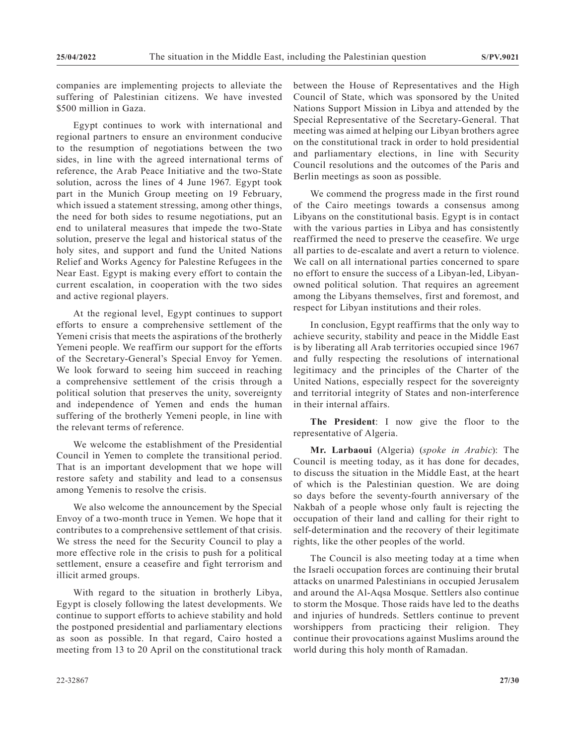companies are implementing projects to alleviate the suffering of Palestinian citizens. We have invested \$500 million in Gaza.

Egypt continues to work with international and regional partners to ensure an environment conducive to the resumption of negotiations between the two sides, in line with the agreed international terms of reference, the Arab Peace Initiative and the two-State solution, across the lines of 4 June 1967. Egypt took part in the Munich Group meeting on 19 February, which issued a statement stressing, among other things, the need for both sides to resume negotiations, put an end to unilateral measures that impede the two-State solution, preserve the legal and historical status of the holy sites, and support and fund the United Nations Relief and Works Agency for Palestine Refugees in the Near East. Egypt is making every effort to contain the current escalation, in cooperation with the two sides and active regional players.

At the regional level, Egypt continues to support efforts to ensure a comprehensive settlement of the Yemeni crisis that meets the aspirations of the brotherly Yemeni people. We reaffirm our support for the efforts of the Secretary-General's Special Envoy for Yemen. We look forward to seeing him succeed in reaching a comprehensive settlement of the crisis through a political solution that preserves the unity, sovereignty and independence of Yemen and ends the human suffering of the brotherly Yemeni people, in line with the relevant terms of reference.

We welcome the establishment of the Presidential Council in Yemen to complete the transitional period. That is an important development that we hope will restore safety and stability and lead to a consensus among Yemenis to resolve the crisis.

We also welcome the announcement by the Special Envoy of a two-month truce in Yemen. We hope that it contributes to a comprehensive settlement of that crisis. We stress the need for the Security Council to play a more effective role in the crisis to push for a political settlement, ensure a ceasefire and fight terrorism and illicit armed groups.

With regard to the situation in brotherly Libya, Egypt is closely following the latest developments. We continue to support efforts to achieve stability and hold the postponed presidential and parliamentary elections as soon as possible. In that regard, Cairo hosted a meeting from 13 to 20 April on the constitutional track between the House of Representatives and the High Council of State, which was sponsored by the United Nations Support Mission in Libya and attended by the Special Representative of the Secretary-General. That meeting was aimed at helping our Libyan brothers agree on the constitutional track in order to hold presidential and parliamentary elections, in line with Security Council resolutions and the outcomes of the Paris and Berlin meetings as soon as possible.

We commend the progress made in the first round of the Cairo meetings towards a consensus among Libyans on the constitutional basis. Egypt is in contact with the various parties in Libya and has consistently reaffirmed the need to preserve the ceasefire. We urge all parties to de-escalate and avert a return to violence. We call on all international parties concerned to spare no effort to ensure the success of a Libyan-led, Libyanowned political solution. That requires an agreement among the Libyans themselves, first and foremost, and respect for Libyan institutions and their roles.

In conclusion, Egypt reaffirms that the only way to achieve security, stability and peace in the Middle East is by liberating all Arab territories occupied since 1967 and fully respecting the resolutions of international legitimacy and the principles of the Charter of the United Nations, especially respect for the sovereignty and territorial integrity of States and non-interference in their internal affairs.

**The President**: I now give the floor to the representative of Algeria.

**Mr. Larbaoui** (Algeria) (*spoke in Arabic*): The Council is meeting today, as it has done for decades, to discuss the situation in the Middle East, at the heart of which is the Palestinian question. We are doing so days before the seventy-fourth anniversary of the Nakbah of a people whose only fault is rejecting the occupation of their land and calling for their right to self-determination and the recovery of their legitimate rights, like the other peoples of the world.

The Council is also meeting today at a time when the Israeli occupation forces are continuing their brutal attacks on unarmed Palestinians in occupied Jerusalem and around the Al-Aqsa Mosque. Settlers also continue to storm the Mosque. Those raids have led to the deaths and injuries of hundreds. Settlers continue to prevent worshippers from practicing their religion. They continue their provocations against Muslims around the world during this holy month of Ramadan.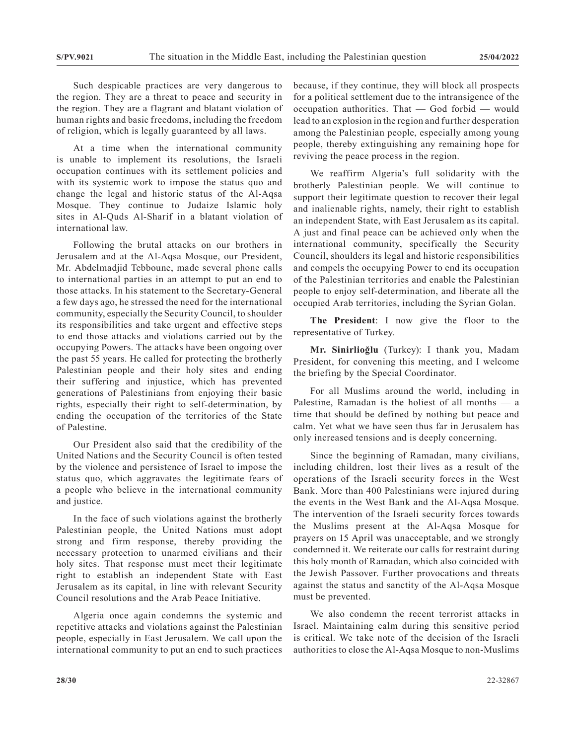Such despicable practices are very dangerous to the region. They are a threat to peace and security in the region. They are a flagrant and blatant violation of human rights and basic freedoms, including the freedom of religion, which is legally guaranteed by all laws.

At a time when the international community is unable to implement its resolutions, the Israeli occupation continues with its settlement policies and with its systemic work to impose the status quo and change the legal and historic status of the Al-Aqsa Mosque. They continue to Judaize Islamic holy sites in Al-Quds Al-Sharif in a blatant violation of international law.

Following the brutal attacks on our brothers in Jerusalem and at the Al-Aqsa Mosque, our President, Mr. Abdelmadjid Tebboune, made several phone calls to international parties in an attempt to put an end to those attacks. In his statement to the Secretary-General a few days ago, he stressed the need for the international community, especially the Security Council, to shoulder its responsibilities and take urgent and effective steps to end those attacks and violations carried out by the occupying Powers. The attacks have been ongoing over the past 55 years. He called for protecting the brotherly Palestinian people and their holy sites and ending their suffering and injustice, which has prevented generations of Palestinians from enjoying their basic rights, especially their right to self-determination, by ending the occupation of the territories of the State of Palestine.

Our President also said that the credibility of the United Nations and the Security Council is often tested by the violence and persistence of Israel to impose the status quo, which aggravates the legitimate fears of a people who believe in the international community and justice.

In the face of such violations against the brotherly Palestinian people, the United Nations must adopt strong and firm response, thereby providing the necessary protection to unarmed civilians and their holy sites. That response must meet their legitimate right to establish an independent State with East Jerusalem as its capital, in line with relevant Security Council resolutions and the Arab Peace Initiative.

Algeria once again condemns the systemic and repetitive attacks and violations against the Palestinian people, especially in East Jerusalem. We call upon the international community to put an end to such practices because, if they continue, they will block all prospects for a political settlement due to the intransigence of the occupation authorities. That — God forbid — would lead to an explosion in the region and further desperation among the Palestinian people, especially among young people, thereby extinguishing any remaining hope for reviving the peace process in the region.

We reaffirm Algeria's full solidarity with the brotherly Palestinian people. We will continue to support their legitimate question to recover their legal and inalienable rights, namely, their right to establish an independent State, with East Jerusalem as its capital. A just and final peace can be achieved only when the international community, specifically the Security Council, shoulders its legal and historic responsibilities and compels the occupying Power to end its occupation of the Palestinian territories and enable the Palestinian people to enjoy self-determination, and liberate all the occupied Arab territories, including the Syrian Golan.

**The President**: I now give the floor to the representative of Turkey.

**Mr. Sinirlioğlu** (Turkey): I thank you, Madam President, for convening this meeting, and I welcome the briefing by the Special Coordinator.

For all Muslims around the world, including in Palestine, Ramadan is the holiest of all months — a time that should be defined by nothing but peace and calm. Yet what we have seen thus far in Jerusalem has only increased tensions and is deeply concerning.

Since the beginning of Ramadan, many civilians, including children, lost their lives as a result of the operations of the Israeli security forces in the West Bank. More than 400 Palestinians were injured during the events in the West Bank and the Al-Aqsa Mosque. The intervention of the Israeli security forces towards the Muslims present at the Al-Aqsa Mosque for prayers on 15 April was unacceptable, and we strongly condemned it. We reiterate our calls for restraint during this holy month of Ramadan, which also coincided with the Jewish Passover. Further provocations and threats against the status and sanctity of the Al-Aqsa Mosque must be prevented.

We also condemn the recent terrorist attacks in Israel. Maintaining calm during this sensitive period is critical. We take note of the decision of the Israeli authorities to close the Al-Aqsa Mosque to non-Muslims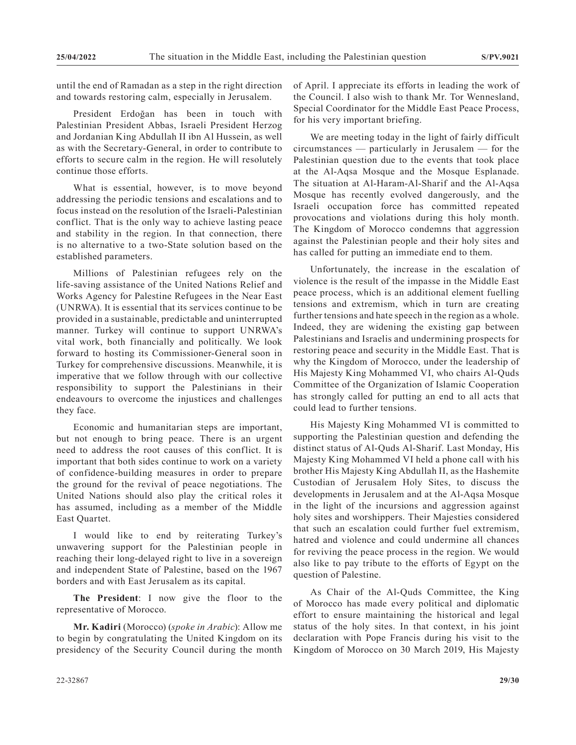until the end of Ramadan as a step in the right direction and towards restoring calm, especially in Jerusalem.

President Erdoğan has been in touch with Palestinian President Abbas, Israeli President Herzog and Jordanian King Abdullah II ibn Al Hussein, as well as with the Secretary-General, in order to contribute to efforts to secure calm in the region. He will resolutely continue those efforts.

What is essential, however, is to move beyond addressing the periodic tensions and escalations and to focus instead on the resolution of the Israeli-Palestinian conflict. That is the only way to achieve lasting peace and stability in the region. In that connection, there is no alternative to a two-State solution based on the established parameters.

Millions of Palestinian refugees rely on the life-saving assistance of the United Nations Relief and Works Agency for Palestine Refugees in the Near East (UNRWA). It is essential that its services continue to be provided in a sustainable, predictable and uninterrupted manner. Turkey will continue to support UNRWA's vital work, both financially and politically. We look forward to hosting its Commissioner-General soon in Turkey for comprehensive discussions. Meanwhile, it is imperative that we follow through with our collective responsibility to support the Palestinians in their endeavours to overcome the injustices and challenges they face.

Economic and humanitarian steps are important, but not enough to bring peace. There is an urgent need to address the root causes of this conflict. It is important that both sides continue to work on a variety of confidence-building measures in order to prepare the ground for the revival of peace negotiations. The United Nations should also play the critical roles it has assumed, including as a member of the Middle East Quartet.

I would like to end by reiterating Turkey's unwavering support for the Palestinian people in reaching their long-delayed right to live in a sovereign and independent State of Palestine, based on the 1967 borders and with East Jerusalem as its capital.

**The President**: I now give the floor to the representative of Morocco.

**Mr. Kadiri** (Morocco) (*spoke in Arabic*): Allow me to begin by congratulating the United Kingdom on its presidency of the Security Council during the month of April. I appreciate its efforts in leading the work of the Council. I also wish to thank Mr. Tor Wennesland, Special Coordinator for the Middle East Peace Process, for his very important briefing.

We are meeting today in the light of fairly difficult circumstances — particularly in Jerusalem — for the Palestinian question due to the events that took place at the Al-Aqsa Mosque and the Mosque Esplanade. The situation at Al-Haram-Al-Sharif and the Al-Aqsa Mosque has recently evolved dangerously, and the Israeli occupation force has committed repeated provocations and violations during this holy month. The Kingdom of Morocco condemns that aggression against the Palestinian people and their holy sites and has called for putting an immediate end to them.

Unfortunately, the increase in the escalation of violence is the result of the impasse in the Middle East peace process, which is an additional element fuelling tensions and extremism, which in turn are creating further tensions and hate speech in the region as a whole. Indeed, they are widening the existing gap between Palestinians and Israelis and undermining prospects for restoring peace and security in the Middle East. That is why the Kingdom of Morocco, under the leadership of His Majesty King Mohammed VI, who chairs Al-Quds Committee of the Organization of Islamic Cooperation has strongly called for putting an end to all acts that could lead to further tensions.

His Majesty King Mohammed VI is committed to supporting the Palestinian question and defending the distinct status of Al-Quds Al-Sharif. Last Monday, His Majesty King Mohammed VI held a phone call with his brother His Majesty King Abdullah II, as the Hashemite Custodian of Jerusalem Holy Sites, to discuss the developments in Jerusalem and at the Al-Aqsa Mosque in the light of the incursions and aggression against holy sites and worshippers. Their Majesties considered that such an escalation could further fuel extremism, hatred and violence and could undermine all chances for reviving the peace process in the region. We would also like to pay tribute to the efforts of Egypt on the question of Palestine.

As Chair of the Al-Quds Committee, the King of Morocco has made every political and diplomatic effort to ensure maintaining the historical and legal status of the holy sites. In that context, in his joint declaration with Pope Francis during his visit to the Kingdom of Morocco on 30 March 2019, His Majesty